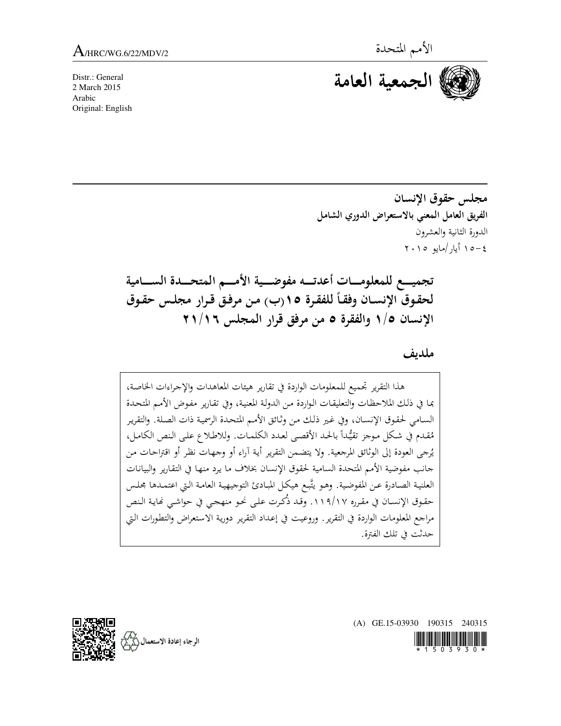Distr.: General 2 March 2015 Arabic Original: English



مجلس حقوق الإنسان الفريق العامل المعنى بالاستعراض الدوري الشامل الدورة الثانية والعشرون  $\gamma \cdot \gamma \circ \mu/\mu$ أيار/مايو ٢٠١٥

تجميسع للمعلومسات أعدتسه مفوضسية الأمسم المتحسدة السسامية لحقوق الإنسـان وفقـاً للفقرة ١٥(ب) من مرفـق قـرار مجلـس حقـوق الإنسان ١/٥ والفقرة ٥ من مرفق قرار المجلس ١١/١٦

ملدىف

هذا التقرير تجميع للمعلومات الواردة في تقارير هيئات المعاهدات والإجراءات الخاصة، بما في ذلك الملاحظات والتعليقات الواردة من الدولة المعنية، وفي تقارير مفوض الأمم المتحدة السامي لحقوق الإنسان، وفي غير ذلك من وثائق الأمم المتحدة الرسمية ذات الصلة. والتقرير مُقدم في شكل موجز تقيُّداً بالحد الأقصى لعدد الكلمات. وللاطلاع على النص الكامل، يُرجى العودة إلى الوثائق المرجعية. ولا يتضمن التقرير أية آراء أو وجهات نظر أو اقتراحات من جانب مفوضية الأمم المتحدة السامية لحقوق الإنسان بخلاف ما يرد منها في التقارير والبيانات العلنية الصادرة عن المفوضية. وهـو يتَّبـع هيكل المبـادئ التوجيهيـة العامـة الـتي اعتمـدها مجلس حقوق الإنسان في مقرره ١١٩/١٧. وقد ذُكرت على نحو منهجي في حواشي نَماية النص مراجع المعلومات الواردة في التقرير. وروعيت في إعداد التقرير دورية الاستعراض والتطورات التي حدثت في تلك الفترة.



(A) GE.15-03930 190315 240315 <u> Hilli Hill Milli Hilli</u>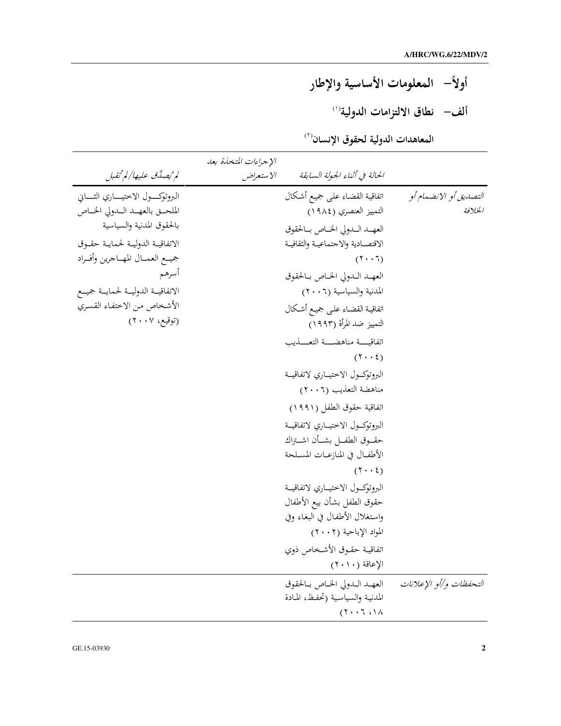أولأً– المعلومات الأساسية والإطار ألف– نطاق الالتزامات الدولية<sup>(١)</sup>

المعاهدات الدولية لحقوق الإنسان<sup>(٢)</sup>

|                                       | الإجراءات المتخذة بعد |                                     |                         |
|---------------------------------------|-----------------------|-------------------------------------|-------------------------|
| لم ُيصِدَّق عليها/لم ُتقبل            | الاستعراض             | الحالة في أثناء الجولة السابقة      |                         |
| البروتوكسول الاختيساري الثساني        |                       | اتفاقية القضاء علىي جميع أشكال      | التصديق أو الانضعام أو  |
| الملحـق بالعهـد الـدولي الخـاص        |                       | التمييز العنصري (١٩٨٤)              | الخلافة                 |
| بالحقوق المدنية والسياسية             |                       | العهـد الـدولي الخـاص بـالحقوق      |                         |
| الاتفاقية الدولية لحماية حقوق         |                       | الاقتصـادية والاجتماعيـة والثقافيـة |                         |
| جميــع العمــال المهــاجرين وأفــراد  |                       | $(7 \cdot 7)$                       |                         |
| أسرهم                                 |                       | العهـد الـدولي الخـاص بـالحقوق      |                         |
| الاتفاقيــة الدوليــة لحمايــة جميــع |                       | المدنية والسياسية (٢٠٠٦)            |                         |
| الأشخاص من الاختفاء القسري            |                       | اتفاقية القضاء علىي جميع أشكال      |                         |
| (توقيع، ٢٠٠٧)                         |                       | التمييز ضد المرأة (١٩٩٣)            |                         |
|                                       |                       | اتفاقيسة مناهضسة التعسذيب           |                         |
|                                       |                       | $(1 \cdot \cdot \xi)$               |                         |
|                                       |                       | البروتوكسول الاختيساري لاتفاقيسة    |                         |
|                                       |                       | مناهضة التعذيب (٢٠٠٦)               |                         |
|                                       |                       | اتفاقية حقوق الطفل (١٩٩١)           |                         |
|                                       |                       | البروتوكول الاختياري لاتفاقية       |                         |
|                                       |                       | حقــوق الطفـــل بشـــأن اشـــتراك   |                         |
|                                       |                       | الأطفـال في المنازعــات المسـلحة    |                         |
|                                       |                       | $(1 \cdot \cdot 2)$                 |                         |
|                                       |                       | البروتوكسول الاختيساري لاتفاقيسة    |                         |
|                                       |                       | حقوق الطفل بشأن بيع الأطفال         |                         |
|                                       |                       | واستغلال الأطفال في البغاء وفي      |                         |
|                                       |                       | المواد الإباحية (٢٠٠٢)              |                         |
|                                       |                       | اتفاقيـة حقـوق الأشـخاص ذوي         |                         |
|                                       |                       | الإعاقة (٢٠١٠)                      |                         |
|                                       |                       | العهـد الـدولي الخـاص بـالحقوق      | التحفظات و/أو الإعلانات |
|                                       |                       | المدنية والسياسية (تحفظ، المادة     |                         |
|                                       |                       | $(1 \cdot 7 \cdot 7 \cdot)$         |                         |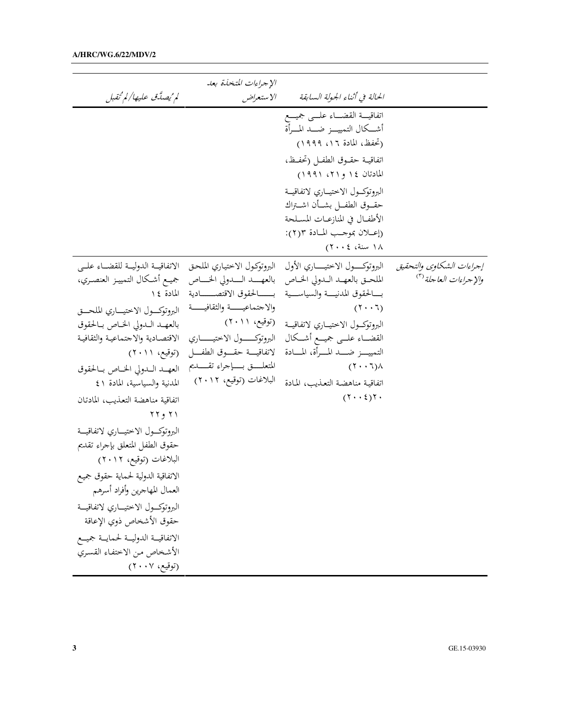|                                                                                                                                                                                                                                                                                                                                                                                                                                                                                                                                                                                                                                                                        | الإجراءات المتخذة بعد                                                                                                                                                                                                                               |                                                                                                                                                                                                                                                                                                                                                                    |                                                                       |
|------------------------------------------------------------------------------------------------------------------------------------------------------------------------------------------------------------------------------------------------------------------------------------------------------------------------------------------------------------------------------------------------------------------------------------------------------------------------------------------------------------------------------------------------------------------------------------------------------------------------------------------------------------------------|-----------------------------------------------------------------------------------------------------------------------------------------------------------------------------------------------------------------------------------------------------|--------------------------------------------------------------------------------------------------------------------------------------------------------------------------------------------------------------------------------------------------------------------------------------------------------------------------------------------------------------------|-----------------------------------------------------------------------|
| لم ُيصِدَّق عليها/لم ُتقبل                                                                                                                                                                                                                                                                                                                                                                                                                                                                                                                                                                                                                                             | الاستعراض                                                                                                                                                                                                                                           | الحالة في أنناء الجولة السابقة                                                                                                                                                                                                                                                                                                                                     |                                                                       |
|                                                                                                                                                                                                                                                                                                                                                                                                                                                                                                                                                                                                                                                                        |                                                                                                                                                                                                                                                     | اتفاقيسة القضساء علسى جميسع<br>أشــكال التمييـــز ضـــد المـــرأة<br>(تحفظ، المادة ١٦، ١٩٩٩)<br>اتفاقيــة حقــوق الطفــل (تحفــظ،<br>المادتان ١٤ و٢١، ١٩٩١)<br>البروتوكسول الاختيساري لاتفاقيسة<br>حقــوق الطفــل بشــأن اشــتراك<br>الأطفــال في المنازعــات المســلحة<br>(إعــلان بموجــب المـادة ٢(٢):<br>١٨ سنة، ٢٠٠٤)                                         |                                                                       |
| الاتفاقيــة الدوليــة للقضــاء علــى<br>بالعهــــد الـــــدولي الخـــــاص حجيــع أشـكال التمييــز العنصــري،<br>البروتوكسول الاختيساري الملحسق<br>بالعهـد الـدولي الخـاص بـالحقوق<br>الاقتصادية والاجتماعية والثقافية<br>العهـد الـدولي الخـاص بـالحقوق<br>المدنية والسياسية، المادة ٤١<br>اتفاقية مناهضة التعذيب، المادتان<br>۲۲ و ۲۲<br>البروتوكسول الاختيساري لاتفاقيسة<br>حقوق الطفل المتعلق بإجراء تقديم<br>البلاغات (توقيع، ٢٠١٢)<br>الاتفاقية الدولية لحماية حقوق جميع<br>العمال المهاجرين وأفراد أسرهم<br>البروتوكسول الاختيساري لاتفاقيسة<br>حقوق الأشخاص ذوي الإعاقة<br>الاتفاقيــة الدوليــة لحمايــة جميــع<br>الأشخاص من الاختفاء القسري<br>(توقيع، ٢٠٠٧) | البروتوكول الاختياري الملحق<br>بــــــالحقوق الاقتصـــــــادية للمادة ١٤<br>والاجتماعيـــة والثقافيـــة<br>البروتوكسول الاختيساري<br>لاتفاقيـــة حقــــوق الطفــــل (توقيع، ٢٠١١)<br>المتعلـــــق بـــــإجراء تقــــــديم<br>البلاغات (توقيع، ٢٠١٢) | البروتوكـــــول الاختيـــــــاري الأول<br>الملحـق بالعهـد الـدولي الخـاص<br>بسالحقوق المدنيسة والسياسسية<br>$(7 \cdot 7)$<br>البروتوكسول الاختيساري لاتفاقيسة (توقيع، ٢٠١١)<br>القضـــاء علـــى جميـــع أشـــكال<br>التمييــــز ضـــــد المـــــرأة، المـــــادة<br>$(\Upsilon \cdot \Upsilon)$<br>اتفاقية مناهضة التعذيب، المادة<br>$(7 \cdot \cdot 2)$ $7 \cdot$ | إجراءات الشكاوي والتحقيق<br>و <i>الإجراءات العاجلة</i> <sup>(٣)</sup> |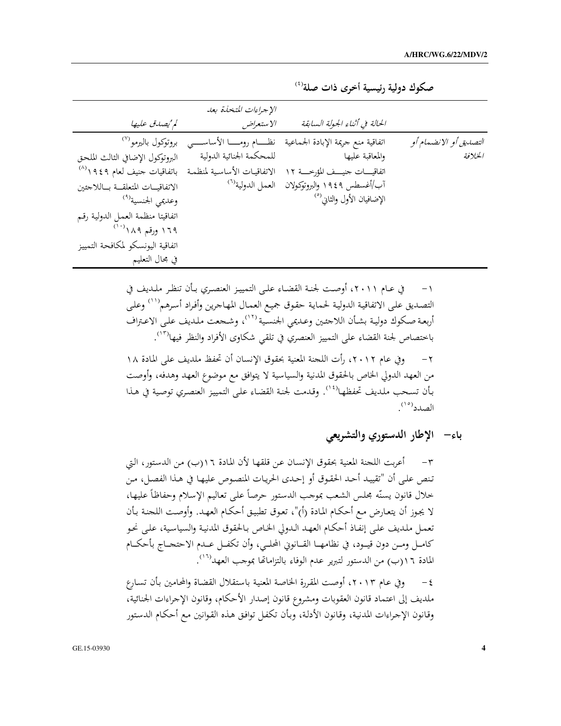|                                          | الإجراءات المتخذة بعد        |                                        |                         |
|------------------------------------------|------------------------------|----------------------------------------|-------------------------|
| لم يُصِدق عليها                          | الاستعراض                    | الحالة في أثناء الجولة السابقة         |                         |
| بروتوكول باليرمو (٧)                     | نظـــام رومــــا الأساســــى | اتفاقية منع جريمة الإبادة الجماعية     | التصديقي أو الانضعام أو |
| البروتوكول الإضافي الثالث الملحق         | للمحكمة الجنائية الدولية     | والمعاقبة عليها                        | الخلافة                 |
| باتفاقيات جنيف لعام ٩٤٩ ١ <sup>(٨)</sup> | الاتفاقيات الأساسية لمنظمة   | اتفاقيسات جنيسف المؤرخسة ١٢            |                         |
| الاتفاقيـات المتعلقــة بــاللاجئين       | العمل الدولية <sup>(٦)</sup> | آب/أغسطس ١٩٤٩ والبروتوكولان            |                         |
| وعديمي الجنسية <sup>(٩)</sup>            |                              | الإضافيان الأول والثاني <sup>(٥)</sup> |                         |
| اتفاقيتا منظمة العمل الدولية رقم         |                              |                                        |                         |
| ۱۶۹ ورقم ۱۸۹ <sup>(۱۰)</sup>             |                              |                                        |                         |
| اتفاقية اليونسكو لمكافحة التمييز         |                              |                                        |                         |
| في مجال التعليم                          |                              |                                        |                         |

صكوك دولية رئيسية أخرى ذات صلة<sup>(٤)</sup>

في عـام ٢٠١١، أوصت لجنـة القضـاء علـى التمييـز العنصـري بـأن تنظـر ملـديف في  $-1$ التصديق على الاتفاقية الدولية لحماية حقوق جميع العمال المهاجرين وأفراد أسرهم''') وعلى أربعة صكوك دولية بشأن اللاجئين وعديمي الجنسية ١٢٪، وشجعت ملديف على الاعتراف باختصاص لجنة القضاء على التمييز العنصري في تلقى شكاوي الأفراد والنظر فيها<sup>(١٣)</sup>. ٢ – وفي عام ٢٠١٢، رأت اللجنة المعنية بحقوق الإنسان أن تحفظ ملديف على المادة ١٨ ١ من العهد الدولي الخاص بالحقوق المدنية والسياسية لا يتوافق مع موضوع العهد وهدفه، وأوصت بأن تسحب ملديف تحفظها<sup>(١٤)</sup>. وقدمت لحنة القضاء على التمييز العنصري توصية في هذا الصدد<sup>(١٥)</sup>.

باء– الإطار الدستوري والتشريعي

٣- أعربت اللجنة المعنية بحقوق الإنسان عن قلقها لأن المادة ١٦(ب) من الدستور، التي تنص على أن "تقييد أحد الحقوق أو إحدى الحريات المنصوص عليها في هذا الفصل، من خلال قانون يسنّه مجلس الشعب بموجب الدستور حرصاً على تعاليم الإسلام وحفاظاً عليها، لا يجوز أن يتعارض مع أحكام المادة (أ)"، تعوق تطبيق أحكام العهد. وأوصت اللحنة بأن تعمل ملديف على إنفاذ أحكام العهد الدولي الخاص بالحقوق المدنية والسياسية، على نحو كامـل ومـن دون قيـود، في نظامهـا القـانوني المحلـي، وأن تكفـل عـدم الاحتحـاج بأحكـام المادة ١٦(ب) من الدستور لتبرير عدم الوفاء بالتزاماتها بموجب العهد<sup>(٢٦)</sup>.

٤ – وفي عـام ٢٠١٣، أوصت المقررة الخاصة المعنية باستقلال القضاة والمحامين بأن تسـارع ملديف إلى اعتماد قانون العقوبات ومشروع قانون إصدار الأحكام، وقانون الإجراءات الجنائية، وقانون الإجراءات المدنية، وقانون الأدلة، وبأن تكفل توافق هذه القوانين مع أحكام الدستور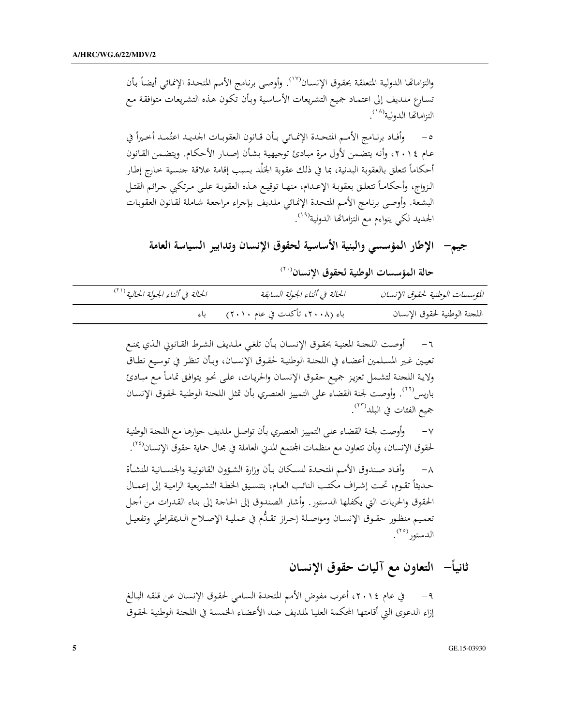والتزاماتها الدولية المتعلقة بحقوق الإنسان<sup>‹‹››</sup>. وأوصى برنامج الأمم المتحدة الإنمائي أيضاً بأن تسارع ملديف إلى اعتماد جميع التشريعات الأساسية وبأن تكون هذه التشريعات متوافقة مع التزاماتها الدولية<sup>(١٨)</sup>. وأفـاد برنـامج الأمـم المتحـدة الإنمـائي بـأن قـانون العقوبـات الجديـد اعتُمـد أخـيراً في  $-\circ$ عـام ٢٠١٤، وأنه يتضمن لأول مرة مبـادئ توجيهية بشأن إصدار الأحكـام. ويتضمن القـانون أحكاماً تتعلق بالعقوبة البدنية، بما في ذلك عقوبة الجَلْد بسبب إقامة علاقة جنسية خارج إطار الزواج، وأحكامـاً تتعلـق بعقوبـة الإعـدام، منهـا توقيـع هـذه العقوبـة علـى مـرتكبي جـرائم القتـل البشعة. وأوصى برنامج الأمم المتحدة الإنمائي ملديف بإجراء مراجعة شاملة لقانون العقوبات الجديد لكي يتواءم مع التزاماتها الدولية<sup>(١٩)</sup>.

جيم— الإطار المؤسسي والبنية الأساسية لحقوق الإنسان وتدابير السياسة العامة

حالة المؤسسات الوطنية لحقوق الإنسان<sup>(٢٠)</sup>

| الحالة في أثناء الجولة الحالية (**) | الحالة في أثناء الجولة السابقة        | المؤسسات الوطنية لحقوق الإنسان |
|-------------------------------------|---------------------------------------|--------------------------------|
|                                     | باء (٢٠٠٨، تأكدت في عام ٢٠١٠)     باء | اللجنة الوطنية لحقوق الإنسان   |

٦- أوصت اللحنة المعنية بحقوق الإنسـان بـأن تلغي ملديف الشرط القـانوين الـذي يمنـع تعيين غير المسلمين أعضاء في اللجنة الوطنية لحقوق الإنسـان، وبـأن تنظر في توسيع نطـاق ولاية اللحنة لتشمل تعزيز جميع حقوق الإنسان والحريات، على نحو يتوافق تماماً مع مبادئ باريس''''. وأوصت لجنة القضاء على التمييز العنصري بأن تمثل اللحنة الوطنية لحقوق الإنسان جميع الفئات في البلد<sup>(٢٣)</sup>.

٧ – وأوصت لجنة القضاء على التمييز العنصري بأن تواصل ملديف حوارها مع اللجنة الوطنية لحقوق الإنسان، وبأن تتعاون مع منظمات المحتمع المدبى العاملة في مجال حماية حقوق الإنسان<sup>(٢٤)</sup>.

وأفاد صندوق الأمم المتحدة للسكان بأن وزارة الشؤون القانونية والجنسانية المنشأة  $-\lambda$ حديثاً تقوم، تحت إشراف مكتب النائب العام، بتنسيق الخطة التشريعية الرامية إلى إعمـال الحقوق والحريات التي يكفلها الدستور. وأشار الصندوق إلى الحاجة إلى بناء القدرات من أجل تعميم منظور حقوق الإنسان ومواصلة إحراز تقلُّم في عملية الإصلاح الديمقراطي وتفعيل الدستور <sup>(۲۰)</sup>.

ثانياً– التعاون مع آليات حقوق الإنسان

في عام ٢٠١٤، أعرب مفوض الأمم المتحدة السامي لحقوق الإنسان عن قلقه البالغ  $-9$ إزاء الدعوى التي أقامتها المحكمة العليا لملديف ضد الأعضاء الخمسة في اللجنة الوطنية لحقوق

GE.15-03930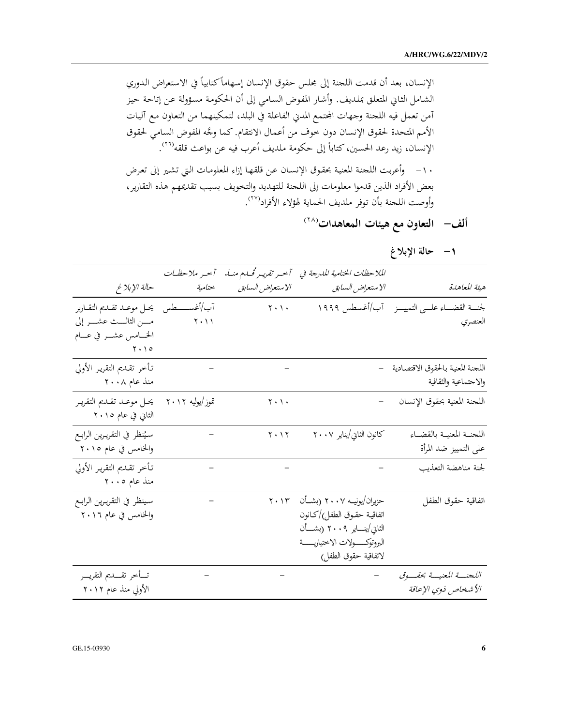الإنسان، بعد أن قدمت اللجنة إلى مجلس حقوق الإنسان إسهاماً كتابياً في الاستعراض الدوري الشامل الثاني المتعلق بملديف. وأشار المفوض السامي إلى أن الحكومة مسؤولة عن إتاحة حيز آمن تعمل فيه اللجنة وجهات المحتمع المدني الفاعلة في البلد، لتمكينهما من التعاون مع آليات الأمم المتحدة لحقوق الإنسان دون خوف من أعمال الانتقام. كما وجَّه المفوض السامي لحقوق الإنسان، زيد رعد الحسين، كتاباً إلى حكومة ملديف أعرب فيه عن بواعث قلقه''''. ١٠- وأعربت اللحنة المعنية بحقوق الإنسان عن قلقها إزاء المعلومات التي تشير إلى تعرض بعض الأفراد الذين قدموا معلومات إلى اللحنة للتهديد والتخويف بسبب تقديمهم هذه التقارير، وأوصت اللجنة بأن توفر ملديف الحماية لهؤلاء الأفراد<sup>(٢٧</sup>).

ألف– التعاون مع هيئات المعاهدات<sup>(٢٨</sup>)

١– حالة الإبلاغ

|                                                            | الملاحظات الختامية المدرجة في ﴿ آخسر تقريس قُام منسا.                                                                                                  |                                 | آخر ملاحظات |                                                                                    |
|------------------------------------------------------------|--------------------------------------------------------------------------------------------------------------------------------------------------------|---------------------------------|-------------|------------------------------------------------------------------------------------|
| هيئة المعاهدة                                              | الاستعراض السابق                                                                                                                                       | الا ستعراض السابق               | ختامية      | حالة الإبلاغ                                                                       |
| لجنسة القضساء علسى التمييسز _ آب/أغسطس ١٩٩٩<br>العنصري     |                                                                                                                                                        | $\mathbf{y} \cdot \mathbf{y}$ . | $Y \cdot Y$ | آب/أغســــــطس    يحــل موعــد تقــديم التقــارير<br>مــــن الثالــــث عشــــر إلى |
|                                                            |                                                                                                                                                        |                                 |             | الخـــامس عشـــر في عـــام<br>$\gamma \cdot \gamma$                                |
| اللجنة المعنية بالحقوق الاقتصادية<br>والاجتماعية والثقافية |                                                                                                                                                        |                                 |             | تأخر تقديم التقرير الأولى<br>منذ عام ۲۰۰۸                                          |
| اللجنة المعنية بحقوق الإنسان                               |                                                                                                                                                        | $\mathbf{y} \cdot \mathbf{y}$ . |             | تموز/يوليه ٢٠١٢ - يحـل موعـد تقـديم التقريـر<br>الثاني في عام ٢٠١٥                 |
| اللحنــة المعنيــة بالقضــاء<br>على التمييز ضد المرأة      | كانون الثاني/يناير ٢٠٠٧            10. ٢٠٢                                                                                                             |                                 |             | سيُنظر في التقريرين الرابـع<br>والخامس في عام ٢٠١٥                                 |
| لجنة مناهضة التعذيب                                        |                                                                                                                                                        |                                 |             | تأخر تقديم التقرير الأولى<br>منذ عام ٢٠٠٥                                          |
| اتفاقية حقوق الطفل                                         | حزیران/یونیــه ۲۰۰۷ (بشــأن ۲۰۱۳<br>اتفاقية حقوق الطفل)/كـانون<br>الثاني/ينــــاير ٢٠٠٩ (بشــــأن<br>البروتوكسولات الاختياريسة<br>لاتفاقية حقوق الطفل) |                                 |             | سينظر في التقريرين الرابع<br>والخامس في عام ٢٠١٦                                   |
| اللحنسة المعنيسة بحقسوق<br>الأشخاص ذوي الإعاقة             |                                                                                                                                                        |                                 |             | تسأخر تقسديم التقريسر<br>الأولى منذ عام ٢٠١٢                                       |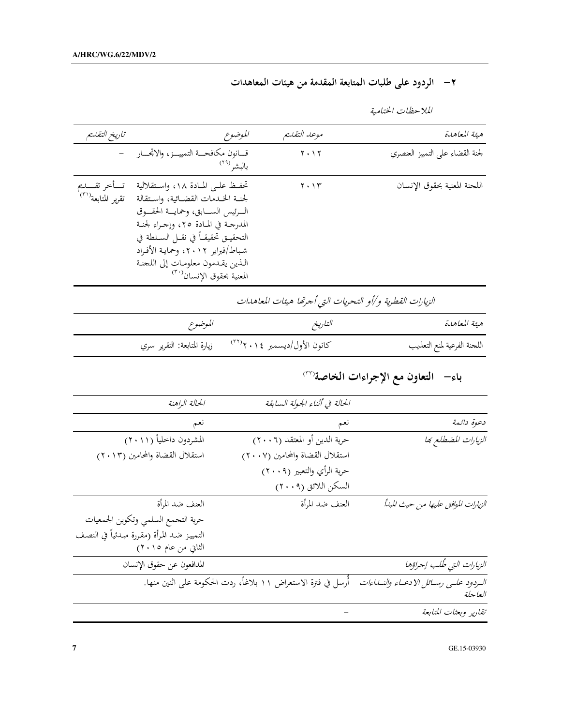## ٢ – الردود على طلبات المتابعة المقدمة من هيئات المعاهدات

| هئة المعاهدة                    | موعد التفديم                  | الموضوع                                                                                                                                                                                                                                                                                                          | تاريخ التقليم                                  |
|---------------------------------|-------------------------------|------------------------------------------------------------------------------------------------------------------------------------------------------------------------------------------------------------------------------------------------------------------------------------------------------------------|------------------------------------------------|
| لجنة القضاء على التمييز العنصري | $\mathbf{Y} \cdot \mathbf{Y}$ | قسانون مكافحسة التمييسز، والاتجسار<br>بالبشر <sup>(۲۹</sup>                                                                                                                                                                                                                                                      |                                                |
| اللجنة المعنية بحقوق الإنسان    | $\mathbf{Y} \cdot \mathbf{Y}$ | تحفيظ عليي المبادة ١٨، واستقلالية<br>لجنبة الخبدمات القضائية، واستقالة<br>السرئيس السسابق، وحمايسة الحقسوق<br>المدرجة في المادة ٢٥، وإجراء لجنة<br>التحقيــق تحقيقــاً في نقــل الســلطة في<br>شباط/فبراير ٢٠١٢، وحمايـة الأفـراد<br>اللَّذين يقدمون معلومات إلى اللجنة<br>المعنية بحقوق الإنسان <sup>(٣٠)</sup> | تسأخر تقسديم<br>تقرير المتابعة <sup>(٣١)</sup> |

الملاحظات الختامية

| الموضوع | التاريخ                                                     | هيئة المعاهدة               |
|---------|-------------------------------------------------------------|-----------------------------|
|         | كانون الأول/ديسمبر ٢٠١٤''       زيارة المتابعة: التقرير سري | اللحنة الفرعية لمنع التعذيب |

|                                                 | الحالة في أثناء الجولة السابقة                                | الحالة الراهنة                            |
|-------------------------------------------------|---------------------------------------------------------------|-------------------------------------------|
| دعوة دائمة                                      | نعم                                                           | نعم                                       |
| الزيارات المضطلع بها                            | حرية الدين أو المعتقد (٢٠٠٦)                                  | المشردون داخلياً (٢٠١١)                   |
|                                                 | استقلال القضاة والمحامين (٢٠٠٧)                               | استقلال القضاة والمحامين (٢٠١٣)           |
|                                                 | حرية الرأي والتعبير (٢٠٠٩)                                    |                                           |
|                                                 | السكن اللائق (٢٠٠٩)                                           |                                           |
| الزيارات الموافق عليها من حيث المبالًا          | العنف ضد المرأة                                               | العنف ضد المرأة                           |
|                                                 |                                                               | حرية التحمع السلمي وتكوين الجمعيات        |
|                                                 |                                                               | التمييز ضد المرأة (مقررة مبدئياً في النصف |
|                                                 |                                                               | الثاني من عام ٢٠١٥)                       |
| الزيارات التي طُلب إجراؤها                      |                                                               | المدافعون عن حقوق الإنسان                 |
| الردود علمى رسائل الادعياء والنساءات<br>العاجلة | أرسل في فترة الاستعراض ١١ بلاغاً، ردت الحكومة على اثنين منها. |                                           |
| تقارير وبعثات المتابعة                          |                                                               |                                           |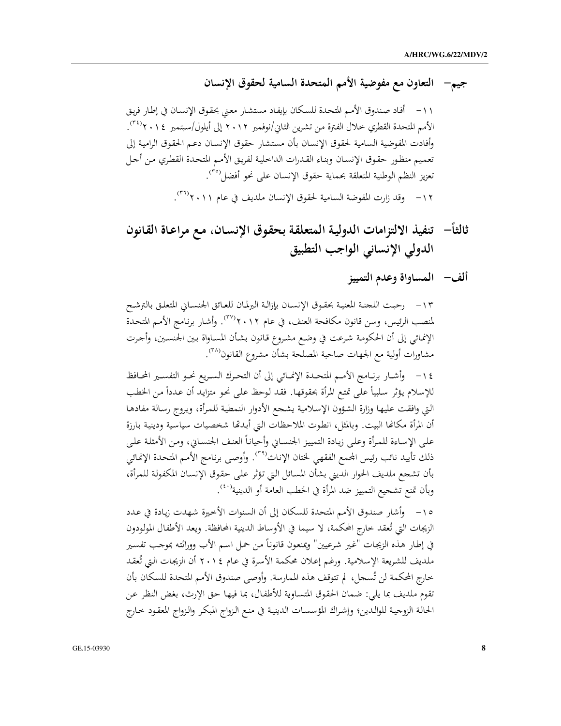## جيم— التعاون مع مفوضية الأمم المتحدة السامية لحقوق الإنسان

١١- أفاد صندوق الأمم المتحدة للسكان بإيفاد مستشار معنى بحقوق الإنسان في إطار فريق الأمم المتحدة القطري خلال الفترة من تشرين الثاني/نوفمبر ٢٠١٢ إلى أيلول/سبتمبر ٢٠١٤<sup>٣٤)</sup>. وأفادت المفوضية السامية لحقوق الإنسان بأن مستشار حقوق الإنسان دعم الحقوق الرامية إلى تعميم منظور حقوق الإنسان وبناء القدرات الداخلية لفريق الأمم المتحدة القطري من أجل تعزيز النظم الوطنية المتعلقة بحماية حقوق الإنسان على نحو أفضل<sup>(٣٥</sup>). ١٢ - وقد زارت المفوضة السامية لحقوق الإنسان ملديف في عام ٢٠١١.

ثالثاً——تنفيذ الالتزامات الدولية المتعلقة بحقوق الإنسان، مع مراعاة القانون الدولى الإنساني الواجب التطبيق

## ألف– المساواة وعدم التمييز

١٣ – رحبت اللحنة المعنية بحقوق الإنسان بإزالة البرلمان للعائق الجنساني المتعلق بالترشح لمنصب الرئيس، وسن قانون مكافحة العنف، في عام ٢٠١٢". وأشار برنامج الأمم المتحدة الإنمائي إلى أن الحكومة شرعت في وضع مشروع قانون بشأن المساواة بين الجنسين، وأجرت مشاورات أولية مع الجهات صاحبة المصلحة بشأن مشروع القانون<sup>(٣٨</sup>).

١٤ – وأشـار برنــامج الأمــم المتحـدة الإنمــائي إلى أن التحـرك السـريع نحـو التفسـير المحـافظ للإسلام يؤثر سلبياً على تمتع المرأة بحقوقها. فقد لوحظ على نحو متزايد أن عدداً من الخطب التي وافقت عليها وزارة الشؤون الإسلامية يشحع الأدوار النمطية للمرأة، ويروج رسالة مفادها أن المرأة مكانَّما البيت. وبالمثل، انطوت الملاحظات التي أبدعًا شخصيات سياسية ودينية بارزة على الإساءة للمرأة وعلى زيادة التمييز الجنساني وأحياناً العنف الجنساني، ومن الأمثلة على ذلك تأييد نائب رئيس المحمع الفقهي لختان الإناث<sup>(٣٩)</sup>. وأوصى برنامج الأمم المتحدة الإنمائي بأن تشجع ملديف الحوار الديني بشأن المسائل التي تؤثر على حقوق الإنسان المكفولة للمرأة، وبأن تمنع تشجيع التمييز ضد المرأة في الخطب العامة أو الدينية<sup>(٤٠</sup>).

١٥- وأشار صندوق الأمم المتحدة للسكان إلى أن السنوات الأخيرة شهدت زيادة في عدد الزيجات التي تُعقد خارج المحكمة، لا سيما في الأوساط الدينية المحافظة. ويعد الأطفال المولودون في إطار هذه الزيجات "غير شرعيين" ويمنعون قانوناً من حمل اسم الأب ووراثته بموجب تفسير ملديف للشريعة الإسلامية. ورغم إعلان محكمة الأسرة في عام ٢٠١٤ أن الزيجات التي تُعقد خارج المحكمة لن تُسحل، لم تتوقف هذه الممارسة. وأوصى صندوق الأمم المتحدة للسكان بأن تقوم ملديف بما يلي: ضمان الحقوق المتساوية للأطفال، بما فيها حق الإرث، بغض النظر عن الحالة الزوجية للوالدين؛ وإشراك المؤسسات الدينية في منع الزواج المبكر والزواج المعقود حارج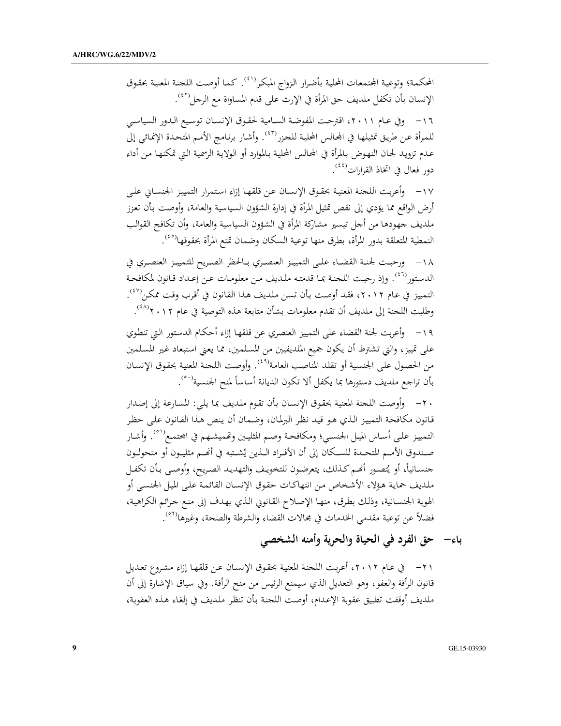المحكمة؛ وتوعية المجتمعات المحلية بأضرار الزواج المبكر<sup>(٤١)</sup>. كما أوصت اللحنة المعنية بحقوق الإنسان بأن تكفل ملديف حق المرأة في الإرث على قدم المساواة مع الرجل<sup>(٤٢)</sup>.

١٦ - وفي عـام ٢٠١١، اقترحت المفوضة السـامية لحقـوق الإنسـان توسيع الـدور السياسـي للمرأة عن طريق تمثيلها في المحالس المحلية للحزر<sup>(٤٣)</sup>. وأشار برنامج الأمم المتحدة الإنمائي إلى عدم تزويد لجـان النهوض بالمرأة في المجالس المحلية بالموارد أو الولاية الرسمية التي تمكنها من أداء دور فعال في اتخاذ القرارات<sup>(٤٤)</sup>.

١٧ – وأعربت اللحنة المعنية بحقوق الإنسان عن قلقها إزاء استمرار التمييز الجنساني على أرض الواقع مما يؤدي إلى نقص تمثيل المرأة في إدارة الشؤون السياسية والعامة، وأوصت بأن تعزز ملديف جهودها من أجل تيسير مشاركة المرأة في الشؤون السياسية والعامة، وأن تكافح القوالب النمطية المتعلقة بدور المرأة، بطرق منها توعية السكان وضمان تمتع المرأة بحقوقها<sup>(٤٥)</sup>.

١٨ - ورحبت لجنـة القضـاء علـى التمييـز العنصـري بـالحظر الصـريح للتمييـز العنصـري في الدستور<sup>(٤٦)</sup>. وإذ رحبت اللحنة بما قدمته ملديف من معلومات عن إعداد قانون لمكافحة التمييز في عام ٢٠١٢، فقد أوصت بأن تسن ملديف هذا القانون في أقرب وقت ممكن<sup>(٤٧)</sup>. وطلبت اللحنة إلى ملديف أن تقدم معلومات بشأن متابعة هذه التوصية في عام ٢٠١٢°.

١٩ – وأعربت لجنة القضاء على التمييز العنصري عن قلقها إزاء أحكام الدستور التي تنطوي على تمييز، والتي تشترط أن يكون جميع الملديفيين من المسلمين، مما يعني استبعاد غير المسلمين من الحصول على الجنسية أو تقلد المناصب العامة<sup>(٤٩)</sup>. وأوصت اللحنة المعنية بحقوق الإنسان بأن تراجع ملديف دستورها بما يكفل ألا تكون الديانة أساساً لمنح الجنسية<sup>(٤٠</sup>٠.

٢٠ – وأوصت اللحنة المعنية بحقوق الإنسان بأن تقوم ملديف بما يلي: المسارعة إلى إصدار قانون مكافحة التمييز الذي هو قيد نظر البرلمان، وضمان أن ينص هذا القانون على حظر التمييز على أساس الميل الجنسي؛ ومكافحة وصم المثليين وتمميشهم في المحتمع<sup>(٥١)</sup>. وأشار KF+ -8/% 9: G= X 
8/ 
+ 9n ) a/ 10 \*y: 
 [\ حنسـانياً، أو يُتصـور أُنْحم كـذلك، يتعرضـون للتخويـف والتهديـد الصـريح، وأوصـي بـأن تكفـل<br>-ملديف حماية هؤلاء الأشخاص من انتهاكـات حقوق الإنسـان القائمة على الميل الجنسي أو الهوية الجنسانية، وذلك بطرق، منها الإصلاح القانوني الذي يهدف إلى منع جرائم الكراهية، فضلاً عن توعية مقدمي الخدمات في مجالات القضاء والشرطة والصحة، وغيرها<sup>(°۰)</sup>.

باء– حق الفرد في الحياة والحرية وأمنه الشخصي

٢١ – في عـام ٢٠١٢، أعربت اللجنة المعنية بحقوق الإنسـان عـن قلقهـا إزاء مشـروع تعـديل قانون الرأفة والعفو، وهو التعديل الذي سيمنع الرئيس من منح الرأفة. وفي سياق الإشارة إلى أن ملديف أوقفت تطبيق عقوبة الإعدام، أوصت اللجنة بأن تنظر ملديف في إلغاء هذه العقوبة،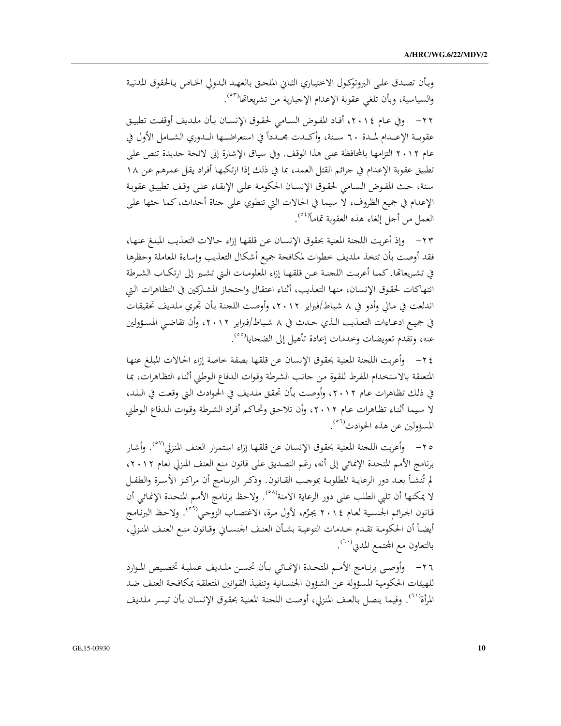وبأن تصدق على البروتوكول الاختياري الثاني الملحق بالعهد الدولي الخاص بالحقوق المدنية والسياسية، وبأن تلغي عقوبة الإعدام الإجبارية من تشريعاتها<sup>(٥٣)</sup>.

٢٢ - وفي عـام ٢٠١٤، أفـاد المفوض السـامي لحقوق الإنسـان بـأن ملديف أوقفت تطبيق عقوبــة الإعــدام لمــدة ٦٠ ســنة، وأكــدت مجــدداً في استعراضــها الــدوري الشــامل الأول في عام ٢٠١٢ التزامها بالمحافظة على هذا الوقف. وفي سياق الإشارة إلى لائحة جديدة تنص على تطبيق عقوبة الإعدام في جرائم القتل العمد، بما في ذلك إذا ارتكبها أفراد يقل عمرهم عن ١٨ سنة، حث المفوض السامي لحقوق الإنسان الحكومة على الإبقاء على وقف تطبيق عقوبة الإعدام في جميع الظروف، لا سيما في الحالات التي تنطوي على جناة أحداث، كما حثها على العمل من أجل إلغاء هذه العقوبة تماماً<sup>(٥٤</sup>).

٢٣ – وإذ أعربت اللحنة المعنية بحقوق الإنسان عن قلقها إزاء حالات التعذيب المبلغ عنها، فقد أوصت بأن تتخذ ملديف خطوات لمكافحة جميع أشكال التعذيب وإساءة المعاملة وحظرها في تشريعاتها. كمـا أعربت اللجنـة عـن قلقهـا إزاء المعلومـات الـتي تشـير إلى ارتكـاب الشـرطة انتهاكات لحقوق الإنسان، منها التعذيب، أثناء اعتقال واحتجاز المشاركين في التظاهرات التي اندلعت في مالي وأدو في ٨ شباط/فبراير ٢٠١٢، وأوصت اللحنة بأن تحري ملديف تحقيقات في جميع ادعـاءات التعـذيب الـذي حـدث في ٨ شـباط/فبراير ٢٠١٢، وأن تقاضـي المسؤولين عنه، وتقدم تعويضات وخدمات إعادة تأهيل إلى الضحايا<sup>(٥٥</sup>).

٢٤ – وأعربت اللحنة المعنية بحقوق الإنسان عن قلقها بصفة خاصة إزاء الحالات المبلغ عنها المتعلقة بالاستخدام المفرط للقوة من حانب الشرطة وقوات الدفاع الوطني أثناء التظاهرات، بما في ذلك تظاهرات عام ٢٠١٢، وأوصت بأن تحقق ملديف في الحوادث التي وقعت في البلد، لا سيما أثناء تظاهرات عام ٢٠١٢، وأن تلاحق وتحاكم أفراد الشرطة وقوات الدفاع الوطني المسؤولين عن هذه الحوادث<sup>(٥٦)</sup>.

٢٥– وأعربت اللحنة المعنية بحقوق الإنسان عن قلقها إزاء استمرار العنف المنزلي<sup>(٥٧)</sup>. وأشار برنامج الأمم المتحدة الإنمائي إلى أنه، رغم التصديق على قانون منع العنف المنزلي لعام ٢٠١٢، لم تُنشأ بعـد دور الرعايـة المطلوبـة بموجـب القـانون. وذكـر البرنـامج أن مراكـز الأسـرة والطفـل لا يمكنها أن تلبي الطلب على دور الرعاية الآمنة'<sup>٨٥</sup>. ولاحظ برنامج الأمم المتحدة الإنمائي أن قانون الجرائم الجنسية لعام ٢٠١٤ يجرِّم، لأول مرة، الاغتصاب الزوجي(°°). ولاحظ البرنامج أيضاً أن الحكومة تقدم حدمات التوعية بشأن العنف الجنساني وقانون منع العنف المنزلي، بالتعاون مع المجتمع المدني<sup>(٦٠)</sup>.

٢٦- وأوصى برنـامج الأمـم المتحدة الإنمـائي بـأن تحسـن ملـديف عمليـة تخصـيص الموارد للهيئات الحكومية المسؤولة عن الشؤون الجنسانية وتنفيذ القوانين المتعلقة بمكافحة العنف ضد المرأة<sup>(٦١</sup>). وفيما يتصل بالعنف المنزلي، أوصت اللحنة المعنية بحقوق الإنسان بأن تيسر ملديف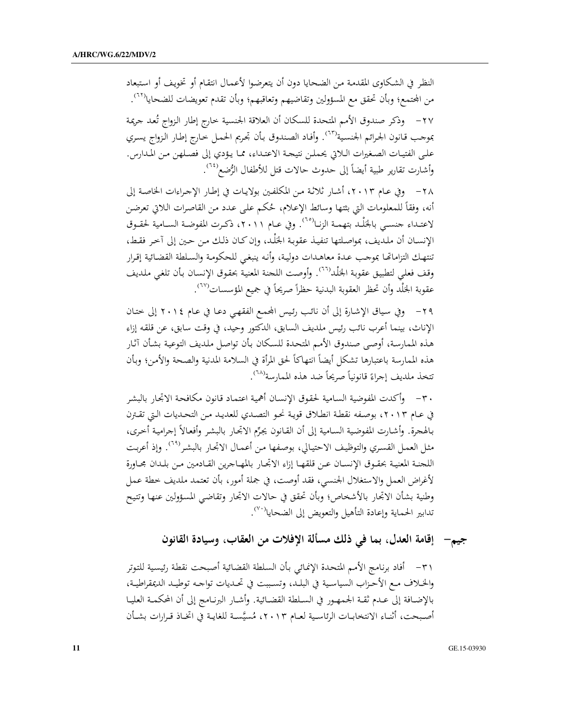النظر في الشكاوي المقدمة من الضحايا دون أن يتعرضوا لأعمال انتقام أو تخويف أو استبعاد من المحتمع؛ وبأن تحقق مع المسؤولين وتقاضيهم وتعاقبهم؛ وبأن تقدم تعويضات للضحايا<sup>(٦٢)</sup>.

٢٧- وذكر صندوق الأمم المتحدة للسكان أن العلاقة الجنسية خارج إطار الزواج تُعد جريمة بموحب قانون الحرائم الجنسية'```. وأفاد الصندوق بأن تحريم الحمل حارج إطار الزواج يسري على الفتيـات الصغيرات الـلاتي يحملـن نتيجـة الاعتـداء، ممـا يـؤدي إلى فصـلهن مـن المـدارس. وأشارت تقارير طبية أيضاً إلى حدوث حالات قتل للأطفال الرُّضع<sup>(٦٤)</sup>.

٢٨ - وفي عـام ٢٠١٣، أشـار ثلاثـة مـن المكلفـين بولايـات في إطـار الإجـراءات الخاصـة إلى أنه، وفقاً للمعلومات التي بثتها وسائط الإعلام، حُكم على عدد من القاصرات اللاتي تعرضن لاعتـداء جنسـي بالجَلْـد بتهمـة الزنـا<sup>(٦٠)</sup>. وفي عـام ٢٠١١، ذكـرت المفوضـة السـامية لحقـوق الإنسـان أن ملديف، بمواصلتها تنفيـذ عقوبـة الجَلْد، وإن كـان ذلـك مـن حـين إلى آخر فقـط، تنتهك التزاماتها بموجب عدة معاهدات دولية، وأنه ينبغي للحكومة والسلطة القضائية إقرار وقف فعلى لتطبيق عقوبة الجَلْداللل عواوصت اللجنة المعنية بحقوق الإنسان بأن تلغى ملديف عقوبة الجَلْد وأن تحظر العقوبة البدنية حظراً صريحاً في جميع المؤسسات<sup>(٦٧</sup>).

٢٩ - وفي سياق الإشارة إلى أن نائب رئيس المجمع الفقهي دعـا في عـام ٢٠١٤ إلى ختـان الإناث، بينما أعرب نائب رئيس ملديف السابق، الدكتور وحيد، في وقت سابق، عن قلقه إزاء هذه الممارسة، أوصى صندوق الأمم المتحدة للسكان بأن تواصل ملديف التوعية بشأن آثار هذه الممارسة باعتبارها تشكل أيضاً انتهاكاً لحق المرأة في السلامة المدنية والصحة والأمن؛ وبأن تتخذ ملديف إجراءً قانونياً صريحاً ضد هذه الممارسة<sup>(٦٨)</sup>.

٣٠ – وأكدت المفوضية السامية لحقوق الإنسان أهمية اعتماد قانون مكافحة الاتجار بالبشر في عـام ٢٠١٣، بوصـفه نقطـة انطـلاق قويـة نحـو التصـدي للعديـد مـن التحـديات الـتي تقـترن بالهجرة. وأشارت المفوضية السامية إلى أن القانون يجرِّم الاتحار بالبشر وأفعالاً إجرامية أخرى، مثل العمل القسري والتوظيف الاحتيالي، بوصفها من أعمال الاتحار بالبشر<sup>(٢٩)</sup>. وإذ أعربت اللحنة المعنية بحقـوق الإنسـان عـن قلقهـا إزاء الاتجـار بالمهـاجرين القـادمين مـن بلـدان مجـاورة لأغراض العمل والاستغلال الجنسي، فقد أوصت، في جملة أمور، بأن تعتمد ملديف خطة عمل وطنية بشأن الاتحار بالأشخاص؛ وبأن تحقق في حالات الاتجار وتقاضى المسؤولين عنها وتتيح تدابير الحماية وإعادة التأهيل والتعويض إلى الضحايا<sup>(٧٠)</sup>.

جيم— إقامة العدل، بما في ذلك مسألة الإفلات من العقاب، وسيادة القانون

٣١ - أفاد برنامج الأمم المتحدة الإنمائي بأن السلطة القضائية أصبحت نقطة رئيسية للتوتر والخلاف مع الأحزاب السياسية في البلد، وتسببت في تحديات تواجه توطيد الديمقراطية، بالإضافة إلى عـدم ثقـة الجمهـور في السـلطة القضـائية. وأشـار البرنـامـج إلى أن المحكمـة العليـا أصبحت، أثنـاء الانتخابـات الرئاسـية لعـام ٢٠١٣، مُسيَّسـة للغايـة في اتخـاذ قـرارات بشـأن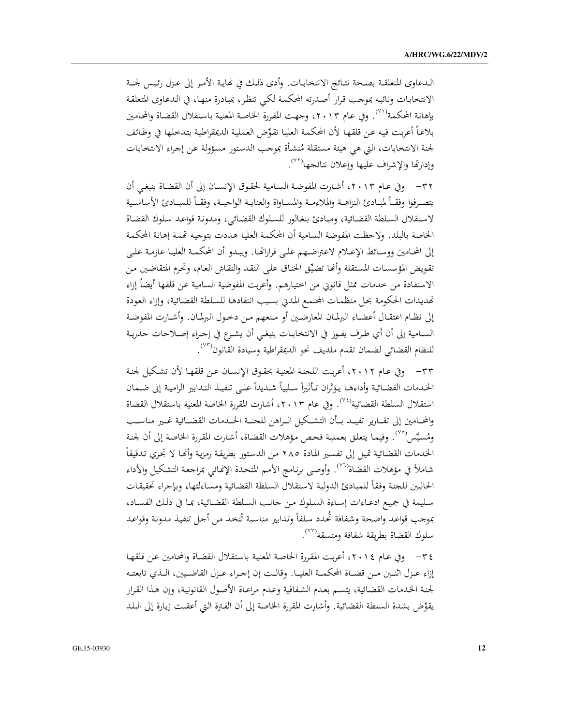الدعاوي المتعلقـة بصـحة نتـائج الانتخابـات. وأدى ذلـك في نحايـة الأمـر إلى عـزل رئـيس لجنـة الانتخابات ونائبه بموجب قرار أصدرته المحكمة لكي تنظر، بمبادرة منها، في الدعاوى المتعلقة بإهانة المحكمة'''. وفي عام ٢٠١٣، وجهت المقررة الخاصة المعنية باستقلال القضاة والمحامين بلاغاً أعربت فيه عن قلقها لأن المحكمة العليا تقوِّض العملية الديمقراطية بتدخلها في وظائف لجنة الانتخابات، التي هي هيئة مستقلة مُنشأة بموجب الدستور مسؤولة عن إجراء الانتخابات وإدارتها والإشراف عليها وإعلان نتائجها<sup>(٧٢)</sup>.

٣٢ – وفي عـام ٢٠١٣، أشـارت المفوضـة السـامية لحقـوق الإنسـان إلى أن القضـاة ينبغـي أن يتصرفوا وفقـأ لمبـادئ النزاهـة والملاءمـة والمسـاواة والعنايـة الواجبـة، وفقـأ للمبـادئ الأساسـية لاستقلال السلطة القضائية، ومبادئ بنغالور للسلوك القضائي، ومدونة قواعد سلوك القضاة الخاصة بالبلد. ولاحظت المفوضة السامية أن المحكمة العليا هددت بتوجيه تهمة إهانة المحكمة إلى المحامين ووسـائط الإعـلام لاعتراضـهم علـى قراراتهـا. ويبـدو أن المحكمـة العليـا عازمـة علـى تقويض المؤسسات المستقلة وأنها تضيِّق الخناق على النقد والنقاش العام، وتحرم المتقاضين من الاستفادة من خدمات ممثل قانويي من اختيارهم. وأعربت المفوضية السامية عن قلقها أيضاً إزاء تهديدات الحكومة بحل منظمات المحتمع المدني بسبب انتقادها للسلطة القضائية، وإزاء العودة إلى نظـام اعتقـال أعضـاء البرلمـان المعارضـين أو مـنعهم مـن دخـول البرلمـان. وأشـارت المفوضـة السـامية إلى أن أي طـرف يفـوز في الانتخابـات ينبغـي أن يشـرع في إجـراء إصـلاحات جذريـة للنظام القضائي لضمان تقدم ملديف نحو الديمقراطية وسيادة القانون<sup>(٧٢)</sup>.

٣٣ - وفي عام ٢٠١٢، أعربت اللجنة المعنية بحقوق الإنسان عن قلقها لأن تشكيل لجنة الخدمات القضائية وأداءهـا يؤثران تـأثيراً سـلبياً شـديداً علـى تنفيـذ التـدابير الراميـة إلى ضـمـان استقلال السلطة القضائية<sup>(٧٤</sup>). وفي عام ٢٠١٣، أشارت المقررة الخاصة المعنية باستقلال القضاة والمحـامين إلى تقــارير تفيــد بــأن التشــكيل الــراهن للجنــة الخــدمات القضــائية غــير مناســب ومُسيَّس°°′. وفيما يتعلق بعملية فحص مؤهلات القضاة، أشارت المقررة الخاصة إلى أن لجنة الخدمات القضائية تميل إلى تفسير المادة ٢٨٥ من الدستور بطريقة رمزية وأنها لا تجري تدقيقاً شاملاً في مؤهلات القضاة''''. وأوصى برنامج الأمم المتحدة الإنمائي بمراجعة التشكيل والأداء الحاليين للجنة وفقأ للمبادئ الدولية لاستقلال السلطة القضائية ومساءلتها، وبإجراء تحقيقات سليمة في جميع ادعـاءات إسـاءة السـلوك مـن جـانـب السـلطة القضـائية، بمـا في ذلـك الفسـاد، بموجب قواعد واضحة وشفافة ثحدد سلفاً وتدابير مناسبة تُتخذ من أجل تنفيذ مدونة وقواعد سلوك القضاة بطريقة شفافة ومتسقة<sup>(٧٧</sup>).

٣٤ – وفي عـام ٢٠١٤، أعربت المقررة الخاصـة المعنيـة باستقلال القضـاة والمحامين عـن قلقهـا إزاء عـزل اثنـين مـن قضـاة المحكمـة العليـا. وقالـت إن إجـراء عـزل القاضـيين، الـذي تابعتـه لجنة الخدمات القضائية، يتسم بعدم الشفافية وعدم مراعاة الأصول القانونية، وإن هذا القرار يقوِّض بشدة السلطة القضائية. وأشارت المقررة الخاصة إلى أن الفترة التي أعقبت زيارة إلى البلد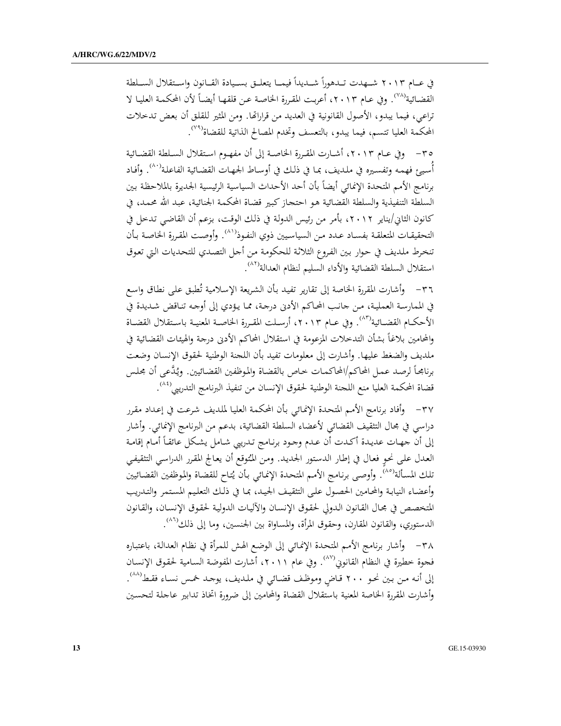في عــام ٢٠١٣ شــهدت تــدهوراً شــديداً فيمــا يتعلــق بســيادة القــانون واسـتقلال الســلطة القضائية'```. وفي عـام ٢٠١٣، أعربت المقررة الخاصـة عـن قلقهـا أيضـاً لأن المحكمـة العليـا لا تراعي، فيما يبدو، الأصول القانونية في العديد من قراراتها. ومن المثير للقلق أن بعض تدخلات المحكمة العليا تتسم، فيما يبدو، بالتعسف وتخدم المصالح الذاتية للقضاة<sup>(٧٩)</sup>.

٣٥ – وفي عـام ٢٠١٣، أشـارت المقـررة الخاصـة إلى أن مفهـوم اسـتقلال السـلطة القضـائية أُسيئ فهمه وتفسيره في ملديف، بما في ذلك في أوساط الجهات القضائية الفاعلة'``. وأفاد برنامج الأمم المتحدة الإنمائي أيضاً بأن أحد الأحداث السياسية الرئيسية الجديرة بالملاحظة بين السلطة التنفيذية والسلطة القضائية هو احتجاز كبير قضاة المحكمة الجنائية، عبد الله محمد، في كانون الثاني/يناير ٢٠١٢، بأمر من رئيس الدولة في ذلك الوقت، بزعم أن القاضي تدخل في التحقيقـات المتعلقـة بفسـاد عـدد مـن السياسـيين ذوي النفـوذ(```. وأوصـت المقـررة الخاصـة بـأن تنخرط ملديف في حوار بين الفروع الثلاثة للحكومة من أجل التصدي للتحديات التي تعوق استقلال السلطة القضائية والأداء السليم لنظام العدالة<sup>(٨٢)</sup>.

٣٦- وأشارت المقررة الخاصة إلى تقارير تفيد بأن الشريعة الإسلامية تُطبق على نطاق واسع في الممارسة العملية، من جانب المحاكم الأدني درجة، مما يؤدي إلى أوجه تناقض شديدة في الأحكـام القضـائية'```. وفي عـام ٠١٣، أرسـلت المقـررة الخاصـة المعنيـة باسـتقلال القضـاة والمحامين بلاغاً بشأن التدخلات المزعومة في استقلال المحاكم الأدبي درجة والهيئات القضائية في ملديف والضغط عليها. وأشارت إلى معلومات تفيد بأن اللحنة الوطنية لحقوق الإنسان وضعت برنامجاً لرصد عمل المحاكم/المحاكمات خاص بالقضاة والموظفين القضائيين. ويُدَّعى أن مجلس قضاة المحكمة العليا منع اللجنة الوطنية لحقوق الإنسان من تنفيذ البرنامج التدريبي<sup>(٤٤)</sup>.

٣٧– وأفاد برنامج الأمم المتحدة الإنمائ<sub>ى</sub> بأن المحكمة العليا لملديف شرعت في إعداد مقرر دراسي في مجال التثقيف القضائي لأعضاء السلطة القضائية، بدعم من البرنامج الإنمائي. وأشار إلى أن جهات عديدة أكدت أن عدم وجود برنامج تدريبي شامل يشكل عائقاً أمام إقامة العدل على نحو فعال في إطار الدستور الجديد. ومن المُتوقع أن يعالج المقرر الدراسي التثقيفي تلك المسألة'<sup>٨٥</sup>). وأوصى برنامج الأمم المتحدة الإنمائي بأن يُتاح للقضاة والموظفين القضائيين وأعضاء النيابة والمحامين الحصول علىي التثقيف الجيد، بما في ذلك التعليم المستمر والتدريب المتخصص في محال القانون الدولي لحقوق الإنسان والآليات الدولية لحقوق الإنسان، والقانون الدستوري، والقانون المقارن، وحقوق المرأة، والمساواة بين الجنسين، وما إلى ذلك<sup>(٨٦)</sup>.

٣٨ – وأشار برنامج الأمم المتحدة الإنمائي إلى الوضع الهش للمرأة في نظام العدالة، باعتباره فجوة خطيرة في النظام القانوني<sup>(٨٧)</sup>. وفي عام ٢٠١١، أشارت المفوضة السامية لحقوق الإنسان إلى أنه من بين نحو ٢٠٠ قاض وموظف قضائي في ملديف، يوجد خمس نساء فقط(^^). وأشارت المقررة الخاصة المعنية باستقلال القضاة والمحامين إلى ضرورة اتخاذ تدابير عاجلة لتحسين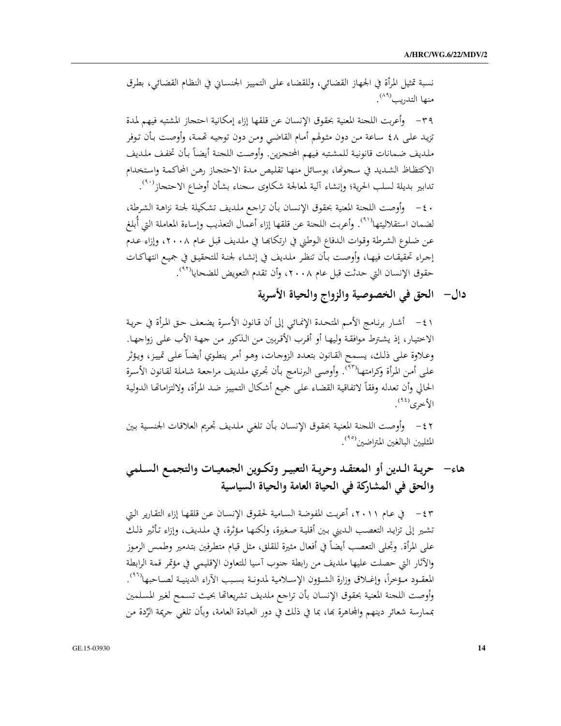نسبة تمثيل المرأة في الجهاز القضائي، وللقضاء على التمييز الجنساني في النظام القضائي، بطرق منها التدريب<sup>(٨٩)</sup>.

٣٩- وأعربت اللحنة المعنية بحقوق الإنسان عن قلقها إزاء إمكانية احتحاز المشتبه فيهم لمدة تزيد على ٤٨ ساعة من دون مثولهم أمام القاضي ومن دون توجيه تحمة، وأوصت بأن توفر ملديف ضمانات قانونية للمشتبه فيهم المحتجزين. وأوصت اللحنة أيضاً بأن تخفف ملديف الاكتظاظ الشديد في سجوعًا، بوسائل منها تقليص مدة الاحتجاز رهن المحاكمة واستخدام تدابير بديلة لسلب الحرية؛ وإنشاء آلية لمعالجة شكاوى سجناء بشأن أوضاع الاحتجاز<sup>(٩٠)</sup>.

· ٤ – وأوصت اللحنة المعنية بحقوق الإنسان بأن تراجع ملديف تشكيلة لجنة نزاهة الشرطة، لضمان استقلاليتها<sup>(٩١</sup>). وأعربت اللحنة عن قلقها إزاء أعمال التعذيب وإساءة المعاملة التي أُبلغ عن ضلوع الشرطة وقوات الدفاع الوطني في ارتكابها في ملديف قبل عام ٢٠٠٨، وإزاء عدم إجراء تحقيقـات فيهـا، وأوصت بـأن تنظر ملديف في إنشـاء لجنـة للتحقيـق في جميـع انتهاكـات حقوق الإنسان التي حدثت قبل عام ٢٠٠٨، وأن تقدم التعويض للضحايا<sup>(٩٢)</sup>.

دال– الحق في الخصوصية والزواج والحياة الأسرية

١ ٤ – أشار برنـامج الأمـم المتحـدة الإنمـائي إلى أن قـانون الأسـرة يضـعف حـق المرأة في حريـة الاختيار، إذ يشترط موافقة وليها أو أقرب الأقربين من الذكور من جهة الأب على زواجها. وعلاوة على ذلك، يسمح القـانون بتعـدد الزوجـات، وهـو أمر ينطوي أيضـاً على تمييز، ويؤثر على أمن المرأة وكرامتها<sup>٩٢)</sup>. وأوصى البرنامج بأن تحري ملديف مراجعة شاملة لقانون الأسرة الحالي وأن تعدله وفقاً لاتفاقية القضاء على جميع أشكال التمييز ضد المرأة، ولالتزاماتها الدولية الأخرى<sup>(٩٤)</sup>.

٤٢ - وأوصت اللجنة المعنية بحقوق الإنسان بأن تلغي ملديف تحريم العلاقات الجنسية بين المثليين البالغين المتراضين<sup>(٩٥</sup>).

هاء– حريـة الـدين أو المعتقـد وحريـة التعبيـر وتكـوين الجمعيـات والتجمـع السـلمي والحق في المشاركة في الحياة العامة والحياة السياسية

٤٣ - (٢٠١١، أعربت المفوضة السامية لحقوق الإنسان عن قلقها إزاء التقارير التي تشير إلى تزايد التعصب الـديني بـين أقلية صغيرة، ولكنهـا مـؤثرة، في ملديف، وإزاء تـأثير ذلـك على المرأة. وتحلَّى التعصب أيضاً في أفعال مثيرة للقلق، مثل قيام متطرفين بتدمير وطمس الرموز والآثار التي حصلت عليها ملديف من رابطة جنوب آسيا للتعاون الإقليمي في مؤتمر قمة الرابطة المعقـود مـؤخراً، وإغـلاق وزارة الشـؤون الإسـلامية لمدونـة بسـبب الأراء الدينيـة لصـاحبها<sup>(٩٦)</sup>. وأوصت اللحنة المعنية بحقوق الإنسان بأن تراجع ملديف تشريعاتها بحيث تسمح لغير المسلمين بممارسة شعائر دينهم والمحاهرة بَما، بما في ذلك في دور العبادة العامة، وبأن تلغي جريمة الرِّدة من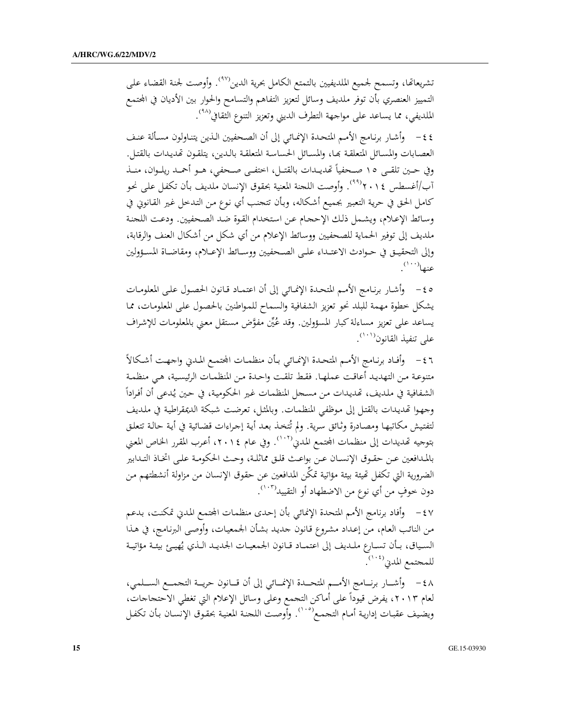تشريعاتما، وتسمح لجميع الملديفيين بالتمتع الكامل بحرية الدين<sup>(٩٧</sup>). وأوصت لجنة القضاء على التمييز العنصري بأن توفر ملديف وسائل لتعزيز التفاهم والتسامح والحوار بين الأديان في المحتمع الملديفي، مما يساعد على مواجهة التطرف الديني وتعزيز التنوع الثقافي<sup>(٩٨</sup>).

٤٤ - وأشار برنامج الأمم المتحدة الإنمائي إلى أن الصحفيين الذين يتناولون مسألة عنف العصابات والمسائل المتعلقة بحا، والمسائل الحساسة المتعلقة بالدين، يتلقون تمديدات بالقتل. وفي حـين تلقــي ١٥ صـحفياً تهديــدات بالقتــل، اختفــي صــحفي، هــو أحمــد ريلــوان، منــذ آب/أغسطس ٢٠١٤°. وأوصت اللحنة المعنية بحقوق الإنسان ملديف بأن تكفل على نحو كامل الحق في حرية التعبير بجميع أشكاله، وبأن تتحنب أي نوع من التدخل غير القانوني في وسائط الإعلام، ويشمل ذلك الإححام عن استخدام القوة ضد الصحفيين. ودعت اللحنة ملديف إلى توفير الحماية للصحفيين ووسائط الإعلام من أي شكل من أشكال العنف والرقابة، وإلى التحقيـق في حـوادث الاعتـداء علـي الصـحفيين ووسـائط الإعـلام، ومقاضـاة المسـؤولين عنها $^{(\cdot\cdot\cdot)}$ .

ه ٤ – وأشار برنـامج الأمـم المتحـدة الإنمـائي إلى أن اعتمـاد قـانون الحصـول علـى المعلومـات يشكل خطوة مهمة للبلد نحو تعزيز الشفافية والسماح للمواطنين بالحصول على المعلومات، مما bV² +% R ° J'/F ; Q .F% am ! F UU( M+N N F < i » X N على تنفيذ القانون<sup>(١٠١)</sup>.

٤٦ - وأفـاد برنـامج الأمـم المتحـدة الإنمـائي بـأن منظمـات المحتمـع المـدني واجـهـت أشـكالأ متنوعة من التهديد أعاقت عملها. فقط تلقت واحدة من المنظمات الرئيسية، هي منظمة  $\overline{a}$ الشفافية في ملديف، تمديدات من مسحل المنظمات غير الحكومية، في حين يُدعى أن أفراداً<br>-وجهوا تمديدات بالقتل إلى موظفي المنظمات. وبالمثل، تعرضت شبكة الديمقراطية في ملديف A+/(  3  ) B YQ !"\  R 0w/ r AB C -\* ? ^a( K Æ/</ X ( x . بتوجيه تهديدات إلى منظمات المحتمع المدني<sup>('</sup>```. وفي عام ٢٠١٤، أعرب المقرر الخاص المعني للدافعين عـن حقـوق الإنسـان عـن بواعـث قلـق مماثلـة، وحـث الحكومـة علـى اتخـاذ التـدابير الضرورية التي تكفل تحيئة بيئة مؤاتية تمكَّن المدافعين عن حقوق الإنسان من مزاولة أنشطتهم من دون خوفٍ من أي نوع من الاضطهاد أو التقييد<sup>(١٠٣)</sup>.

٤٧ – وأفاد برنامج الأمم المتحدة الإنمائي بأن إحدى منظمات المجتمع المدني تمكنت، بدعم من النائب العام، من إعداد مشروع قانون حديد بشأن الجمعيات، وأوصى البرنامج، في هذا السـياق، بـأن تسـارع ملـديف إلى اعتمـاد قـانون الجمعيـات الجديـد الـذي يُهيـئ بيئـة مؤاتيـة<br>" للمحتمع المدني<sup>(١٠٤)</sup>.

٤٨ - وأشــار برنــامج الأمــم المتحــدة الإنمــائي إلى أن قــانون حريــة التجمــع الســلمي، لعام ٢٠١٣، يفرض قيوداً على أماكن التجمع وعلى وسائل الإعلام التي تغطي الاحتجاجات، ويضيف عقبـات إداريـة أمـام التجمـع<sup>(°٬۱۰</sup>ْ. وأَوصـت اللجنـة المعنيـة بحقـوق الإنسـان بـأن تكفـل

R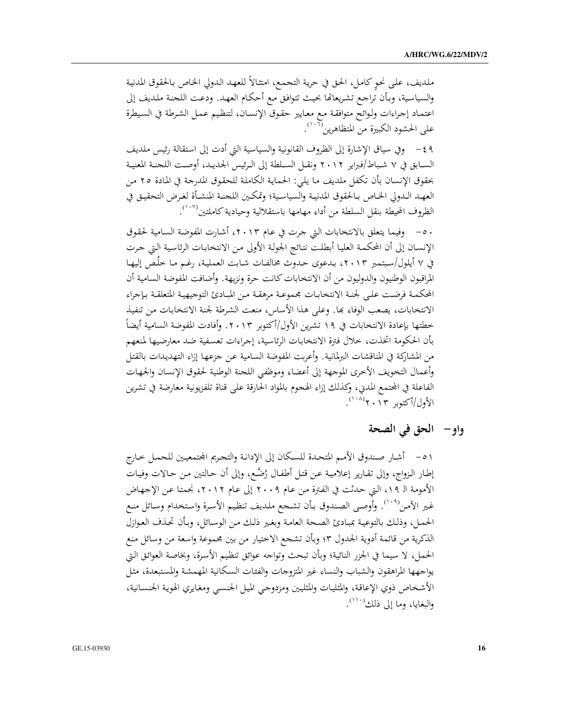ملديف، على نحوٍ كامل، الحق في حرية التجمع، امتثالاً للعهد الدولي الخاص بالحقوق المدنية والسياسية، وبأن تراجع تشريعاتها بحيث تتوافق مع أحكام العهد. ودعت اللجنة ملديف إلى اعتماد إجراءات ولوائح متوافقة مع معايير حقوق الإنسان، لتنظيم عمل الشرطة في السيطرة على الحشود الكبيرة من المتظاهرين<sup>(١٠٢)</sup>.

٤٩ - وفي سياق الإشارة إلى الظروف القانونية والسياسية التي أدت إلى استقالة رئيس ملديف السـابق في ٧ شـباط/فبراير ٢٠١٢ ونقـل السـلطة إلى الـرئيس الجديـد، أوصـت اللحنـة المعنيـة بحقوق الإنسان بأن تكفل ملديف ما يلي: الحماية الكاملة للحقوق المدرجة في المادة ٢٥ من العهد الدولي الخاص بالحقوق المدنية والسياسية؛ وتمكين اللجنة المنشأة لغرض التحقيق في الظروف المحيطة بنقل السلطة من أداء مهامها باستقلالية وحيادية كاملتين''``.

٥٠ – وفيما يتعلق بالانتخابات التي جرت في عام ٢٠١٣، أشارت المفوضة السامية لحقوق الإنسـان إلى أن المحكمـة العليـا أبطلت نتـائج الجولـة الأولى مـن الانتخابـات الرئاسية الـتي جرت في ٧ أيلول/سبتمبر ٢٠١٣، بدعوى حدوث مخالفات شابت العملية، رغم ما خلُص إليها المراقبون الوطنيون والدوليون من أن الانتخابات كانت حرة ونزيهة. وأضافت المفوضة السامية أن المحكمـة فرضـت علـى لحنـة الانتخابـات مجموعـة مرهقـة مـن المبـادئ التوجيهيـة المتعلقـة بـإجراء الانتخابات، يصعب الوفاء بها. وعلى هذا الأساس، منعت الشرطة لجنة الانتخابات من تنفيذ خطتها بإعادة الانتخابات في ١٩ تشرين الأول/أكتوبر ٢٠١٣. وأفادت المفوضة السامية أيضاً بأن الحكومة اتخذت، خلال فترة الانتخابات الرئاسية، إجراءات تعسفية ضد معارضيها لمنعهم من المشاركة في المناقشات البرلمانية. وأعربت المفوضة السامية عن جزعها إزاء التهديدات بالقتل وأعمال التخويف الأخرى الموجهة إلى أعضاء وموظفي اللحنة الوطنية لحقوق الإنسان والجهات الفاعلة في المحتمع المدني، وكذلك إزاء الهجوم بالمواد الحارقة على قناة تلفزيونية معارضة في تشرين الأول/أكتوبر ٢٠١٣'.

## واو–۔ الحق في الصحة

٥١ - أشار صندوق الأمم المتحدة للسكان إلى الإدانة والتحريم المحتمعيين للحمل خارج إطار الزواج، وإلى تقارير إعلامية عن قتل أطفال رُضَّع، وإلى أن حالتين من حالات وفيات الأمومة الـ ١٩، التي حدثت في الفترة من عام ٢٠٠٩ إلى عام ٢٠١٢، نجمتا عن الإجهاض غير الآمن(°`'). وأوصى الصندوق بأن تشجع ملديف تنظيم الأسرة واستخدام وسائل منع الحمل، وذلك بالتوعية بمبادئ الصحة العامة وبغير ذلك من الوسائل، وبأن تحذف العوازل الذكرية من قائمة أدوية الجدول ٣؛ وبأن تشجع الاختيار من بين مجموعة واسعة من وسائل منع الحمل، لا سيما في الجزر النائية؛ وبأن تبحث وتواجه عوائق تنظيم الأسرة، وبخاصة العوائق التي يواجهها المراهقون والشباب والنساء غير المتزوجات والفئات السكانية المهمشة والمستبعدة، مثل الأشخاص ذوي الإعاقة، والمثليات والمثليين ومزدوجي الميل الجنسبي ومغايري الهوية الجنسانية، والبغايا، وما إلى ذلك````.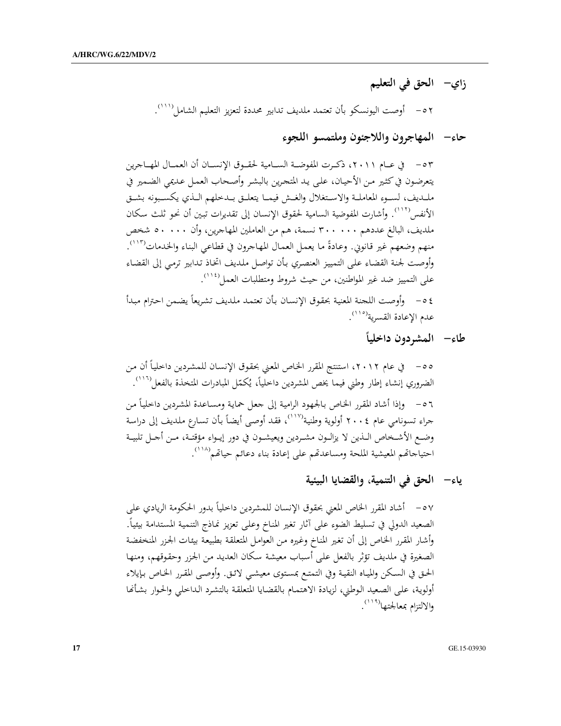زاي– الحق في التعليم

٥٢ - أوصت اليونسكو بأن تعتمد ملديف تدابير محددة لتعزيز التعليم الشامل (١١١٠).

حاءه المهاجرون واللاجئون وملتمسو اللجوء

يتعرضون في كثير من الأحيان، على يد المتحرين بالبشر وأصحاب العمل عديمي الضمير في ملىديف، لسـوء المعاملـة والاسـتغلال والغـش فيمـا يتعلـق بـدخلهم الـذي يكسـبونه بشـق الأنفس'''''. وأشارت المفوضية السامية لحقوق الإنسان إلى تقديرات تبين أن نحو ثلث سكان ملديف، البالغ عددهم ٣٠٠٠٠٠ نسمة، هم من العاملين المهاجرين، وأن ٥٠٠٠٠ شخص منهم وضعهم غير قانوني. وعادةً ما يعمل العمال المهاجرون في قطاعي البناء والخدمات(١١٣). وأوصت لجنة القضاء على التمييز العنصري بأن تواصل ملديف اتخاذ تدابير ترمى إلى القضاء على التمييز ضد غير المواطنين، من حيث شروط ومتطلبات العمل<sup>(١١٤</sup>). ٤ ٥ - وأوصت اللجنة المعنية بحقوق الإنسان بأن تعتمد ملديف تشريعاً يضمن احترام مبدأ

عدم الإعادة القسرية<sup>(١١٥</sup>).

طاءِ– الممشردون داخلياً

ياء– الحق في التنمية، والقضايا البيئية

٥٧ – أشاد المقرر الخاص المعنى بحقوق الإنسان للمشردين داخلياً بدور الحكومة الريادي على الصعيد الدولي في تسليط الضوء على آثار تغير المناخ وعلى تعزيز نماذج التنمية المستدامة بيئياً. وأشار المقرر الخاص إلى أن تغير المناخ وغيره من العوامل المتعلقة بطبيعة بيئات الجزر المنخفضة الصغيرة في ملديف تؤثر بالفعل على أسباب معيشة سكان العديد من الجزر وحقوقهم، ومنها الحق في السكن والمياه النقية وفي التمتع بمستوى معيشىي لائق. وأوصىي المقرر الخاص بإيلاء أولوية، على الصعيد الوطني، لزيادة الاهتمام بالقضايا المتعلقة بالتشرد الداخلي والحوار بشأنها والالتزام بمعالجتها<sup>(١١٩)</sup>.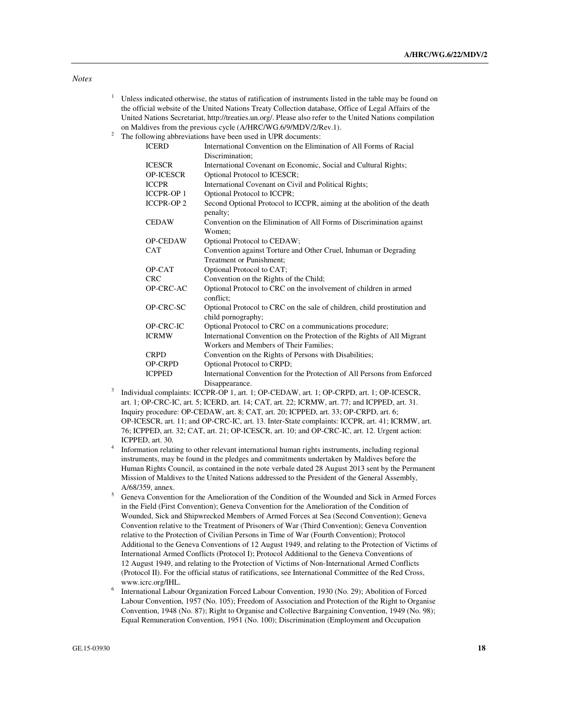| Unless indicated otherwise, the status of ratification of instruments listed in the table may be found on |
|-----------------------------------------------------------------------------------------------------------|
| the official website of the United Nations Treaty Collection database, Office of Legal Affairs of the     |
| United Nations Secretariat, http://treaties.un.org/. Please also refer to the United Nations compilation  |
| on Maldives from the previous cycle (A/HRC/WG.6/9/MDV/2/Rev.1).                                           |

 $2^2$  The following abbreviations have been used in UPR documents:

| <b>ICERD</b>      | International Convention on the Elimination of All Forms of Racial                             |
|-------------------|------------------------------------------------------------------------------------------------|
|                   | Discrimination:                                                                                |
| <b>ICESCR</b>     | International Covenant on Economic, Social and Cultural Rights;                                |
| <b>OP-ICESCR</b>  | Optional Protocol to ICESCR;                                                                   |
| <b>ICCPR</b>      | International Covenant on Civil and Political Rights;                                          |
| <b>ICCPR-OP 1</b> | Optional Protocol to ICCPR;                                                                    |
| <b>ICCPR-OP 2</b> | Second Optional Protocol to ICCPR, aiming at the abolition of the death<br>penalty;            |
| <b>CEDAW</b>      | Convention on the Elimination of All Forms of Discrimination against<br>Women;                 |
| <b>OP-CEDAW</b>   | Optional Protocol to CEDAW;                                                                    |
| <b>CAT</b>        | Convention against Torture and Other Cruel, Inhuman or Degrading                               |
|                   | <b>Treatment or Punishment:</b>                                                                |
| OP-CAT            | Optional Protocol to CAT;                                                                      |
| <b>CRC</b>        | Convention on the Rights of the Child;                                                         |
| OP-CRC-AC         | Optional Protocol to CRC on the involvement of children in armed<br>conflict:                  |
| OP-CRC-SC         | Optional Protocol to CRC on the sale of children, child prostitution and<br>child pornography; |
| OP-CRC-IC         | Optional Protocol to CRC on a communications procedure;                                        |
| <b>ICRMW</b>      | International Convention on the Protection of the Rights of All Migrant                        |
|                   | Workers and Members of Their Families;                                                         |
| <b>CRPD</b>       | Convention on the Rights of Persons with Disabilities;                                         |
| <b>OP-CRPD</b>    | Optional Protocol to CRPD;                                                                     |
| <b>ICPPED</b>     | International Convention for the Protection of All Persons from Enforced                       |
|                   | Disappearance.                                                                                 |

- 3 Individual complaints: ICCPR-OP 1, art. 1; OP-CEDAW, art. 1; OP-CRPD, art. 1; OP-ICESCR, art. 1; OP-CRC-IC, art. 5; ICERD, art. 14; CAT, art. 22; ICRMW, art. 77; and ICPPED, art. 31. Inquiry procedure: OP-CEDAW, art. 8; CAT, art. 20; ICPPED, art. 33; OP-CRPD, art. 6; OP-ICESCR, art. 11; and OP-CRC-IC, art. 13. Inter-State complaints: ICCPR, art. 41; ICRMW, art. 76; ICPPED, art. 32; CAT, art. 21; OP-ICESCR, art. 10; and OP-CRC-IC, art. 12. Urgent action: ICPPED, art. 30.
- 4 Information relating to other relevant international human rights instruments, including regional instruments, may be found in the pledges and commitments undertaken by Maldives before the Human Rights Council, as contained in the note verbale dated 28 August 2013 sent by the Permanent Mission of Maldives to the United Nations addressed to the President of the General Assembly, A/68/359, annex.
- <sup>5</sup> Geneva Convention for the Amelioration of the Condition of the Wounded and Sick in Armed Forces in the Field (First Convention); Geneva Convention for the Amelioration of the Condition of Wounded, Sick and Shipwrecked Members of Armed Forces at Sea (Second Convention); Geneva Convention relative to the Treatment of Prisoners of War (Third Convention); Geneva Convention relative to the Protection of Civilian Persons in Time of War (Fourth Convention); Protocol Additional to the Geneva Conventions of 12 August 1949, and relating to the Protection of Victims of International Armed Conflicts (Protocol I); Protocol Additional to the Geneva Conventions of 12 August 1949, and relating to the Protection of Victims of Non-International Armed Conflicts (Protocol II). For the official status of ratifications, see International Committee of the Red Cross, www.icrc.org/IHL.
- 6 International Labour Organization Forced Labour Convention, 1930 (No. 29); Abolition of Forced Labour Convention, 1957 (No. 105); Freedom of Association and Protection of the Right to Organise Convention, 1948 (No. 87); Right to Organise and Collective Bargaining Convention, 1949 (No. 98); Equal Remuneration Convention, 1951 (No. 100); Discrimination (Employment and Occupation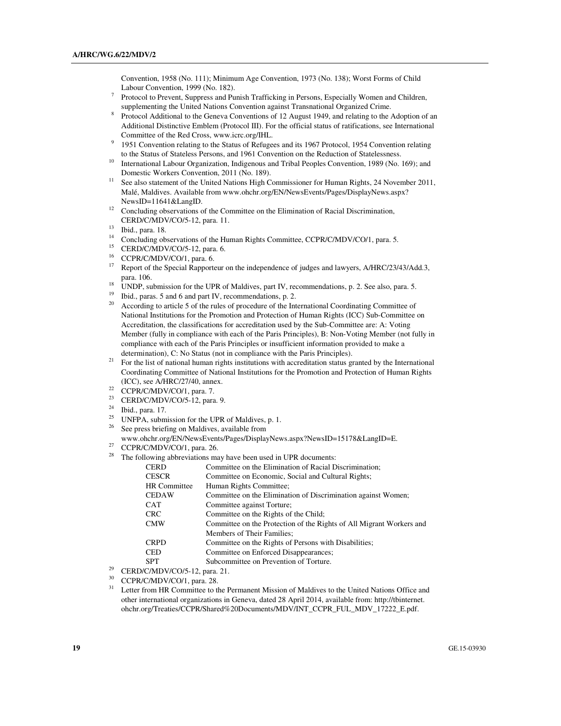Convention, 1958 (No. 111); Minimum Age Convention, 1973 (No. 138); Worst Forms of Child Labour Convention, 1999 (No. 182).

- 7 Protocol to Prevent, Suppress and Punish Trafficking in Persons, Especially Women and Children, supplementing the United Nations Convention against Transnational Organized Crime.
- 8 Protocol Additional to the Geneva Conventions of 12 August 1949, and relating to the Adoption of an Additional Distinctive Emblem (Protocol III). For the official status of ratifications, see International Committee of the Red Cross, www.icrc.org/IHL.
- 9 1951 Convention relating to the Status of Refugees and its 1967 Protocol, 1954 Convention relating to the Status of Stateless Persons, and 1961 Convention on the Reduction of Statelessness.
- <sup>10</sup> International Labour Organization, Indigenous and Tribal Peoples Convention, 1989 (No. 169); and Domestic Workers Convention, 2011 (No. 189).
- <sup>11</sup> See also statement of the United Nations High Commissioner for Human Rights, 24 November 2011, Malé, Maldives. Available from www.ohchr.org/EN/NewsEvents/Pages/DisplayNews.aspx? NewsID=11641&LangID.
- <sup>12</sup> Concluding observations of the Committee on the Elimination of Racial Discrimination, CERD/C/MDV/CO/5-12, para. 11.
- $13$  Ibid., para. 18.
- <sup>14</sup> Concluding observations of the Human Rights Committee, CCPR/C/MDV/CO/1, para. 5.<br><sup>15</sup> CERD/C/MDV/CO/5, 12, para. 6.
- <sup>15</sup> CERD/C/MDV/CO/5-12, para. 6.<br><sup>16</sup> CCPP/C/MDV/CO/1, para. 6.
- <sup>16</sup> CCPR/C/MDV/CO/1, para. 6.<br><sup>17</sup> Persont of the Special Personal
- Report of the Special Rapporteur on the independence of judges and lawyers, A/HRC/23/43/Add.3, para. 106.
- <sup>18</sup> UNDP, submission for the UPR of Maldives, part IV, recommendations, p. 2. See also, para. 5.<br><sup>19</sup> This agree 5 and 6 and part IV, recommendations a 2.
- <sup>19</sup> Ibid., paras. 5 and 6 and part IV, recommendations, p. 2.<br><sup>20</sup> According to erticle 5 of the rules of procedure of the Int
- <sup>20</sup> According to article 5 of the rules of procedure of the International Coordinating Committee of National Institutions for the Promotion and Protection of Human Rights (ICC) Sub-Committee on Accreditation, the classifications for accreditation used by the Sub-Committee are: A: Voting Member (fully in compliance with each of the Paris Principles), B: Non-Voting Member (not fully in compliance with each of the Paris Principles or insufficient information provided to make a determination), C: No Status (not in compliance with the Paris Principles).
- <sup>21</sup> For the list of national human rights institutions with accreditation status granted by the International Coordinating Committee of National Institutions for the Promotion and Protection of Human Rights (ICC), see A/HRC/27/40, annex.
- <sup>22</sup> CCPR/C/MDV/CO/1, para. 7.<br><sup>23</sup> CEPD/CA/DV/CO/5, 12. para.
- <sup>23</sup> CERD/C/MDV/CO/5-12, para. 9.<br><sup>24</sup> Philoson <sup>17</sup>
- $\frac{24}{25}$  Ibid., para. 17.
- <sup>25</sup> UNFPA, submission for the UPR of Maldives, p. 1.<br><sup>26</sup> See gases briefing an Maldives, supplied from
- See press briefing on Maldives, available from
- www.ohchr.org/EN/NewsEvents/Pages/DisplayNews.aspx?NewsID=15178&LangID=E.
- <sup>27</sup> CCPR/C/MDV/CO/1, para. 26.<br><sup>28</sup> The following abbreviations may
- The following abbreviations may have been used in UPR documents:

| <b>CERD</b>         | Committee on the Elimination of Racial Discrimination;               |
|---------------------|----------------------------------------------------------------------|
| <b>CESCR</b>        | Committee on Economic, Social and Cultural Rights;                   |
| <b>HR</b> Committee | Human Rights Committee;                                              |
| <b>CEDAW</b>        | Committee on the Elimination of Discrimination against Women;        |
| CAT                 | Committee against Torture;                                           |
| <b>CRC</b>          | Committee on the Rights of the Child:                                |
| <b>CMW</b>          | Committee on the Protection of the Rights of All Migrant Workers and |
|                     | Members of Their Families;                                           |
| <b>CRPD</b>         | Committee on the Rights of Persons with Disabilities;                |
| <b>CED</b>          | Committee on Enforced Disappearances;                                |
| <b>SPT</b>          | Subcommittee on Prevention of Torture.                               |
|                     |                                                                      |

- <sup>29</sup> CERD/C/MDV/CO/5-12, para. 21.
- CCPR/C/MDV/CO/1, para. 28.
- Letter from HR Committee to the Permanent Mission of Maldives to the United Nations Office and other international organizations in Geneva, dated 28 April 2014, available from: http://tbinternet. ohchr.org/Treaties/CCPR/Shared%20Documents/MDV/INT\_CCPR\_FUL\_MDV\_17222\_E.pdf.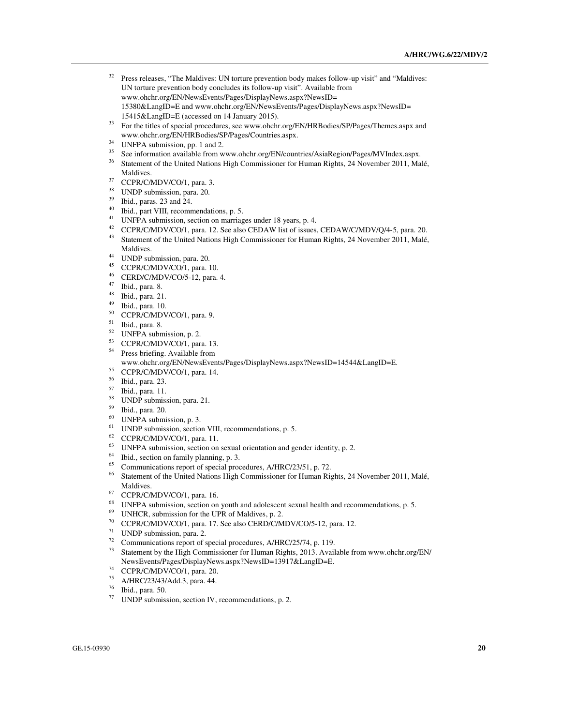- <sup>32</sup> Press releases, "The Maldives: UN torture prevention body makes follow-up visit" and "Maldives: UN torture prevention body concludes its follow-up visit". Available from www.ohchr.org/EN/NewsEvents/Pages/DisplayNews.aspx?NewsID= 15380&LangID=E and www.ohchr.org/EN/NewsEvents/Pages/DisplayNews.aspx?NewsID= 15415&LangID=E (accessed on 14 January 2015).
- <sup>33</sup> For the titles of special procedures, see www.ohchr.org/EN/HRBodies/SP/Pages/Themes.aspx and www.ohchr.org/EN/HRBodies/SP/Pages/Countries.aspx.
- <sup>34</sup> UNFPA submission, pp. 1 and 2.
- <sup>35</sup> See information available from www.ohchr.org/EN/countries/AsiaRegion/Pages/MVIndex.aspx.<br><sup>36</sup> Statement of the United Nations High Commissioner for Human Bights, 24 November 2011, Mo
- <sup>36</sup> Statement of the United Nations High Commissioner for Human Rights, 24 November 2011, Malé, Maldives.
- <sup>37</sup> CCPR/C/MDV/CO/1, para. 3.
- <sup>38</sup> UNDP submission, para. 20.
- $^{39}$  Ibid., paras. 23 and 24.
- Ibid., part VIII, recommendations, p. 5.
- <sup>41</sup> UNFPA submission, section on marriages under 18 years, p. 4.<br><sup>42</sup> CCBB/C/MDV/CO/1 pers 12. See also CEDAW list of issues
- <sup>42</sup> CCPR/C/MDV/CO/1, para. 12. See also CEDAW list of issues, CEDAW/C/MDV/Q/4-5, para. 20.<br><sup>43</sup> Statement of the United National Ligh Commissioner for Unman Bights, 24 Nayombar 2011, Malá
- <sup>43</sup> Statement of the United Nations High Commissioner for Human Rights, 24 November 2011, Malé, Maldives.
- $^{44}$  UNDP submission, para. 20.
- $^{45}$  CCPR/C/MDV/CO/1, para. 10.
- $^{46}$  CERD/C/MDV/CO/5-12, para. 4.
- $^{47}$  Ibid., para. 8.
- $^{48}$  Ibid., para. 21.
- $^{49}$  Ibid., para. 10.
- $^{50}$  CCPR/C/MDV/CO/1, para. 9.<br> $^{51}$  H<sub>1</sub>:1, ages 8.
- Ibid., para. 8.
- $52$  UNFPA submission, p. 2.
- $^{53}$  CCPR/C/MDV/CO/1, para. 13.<br> $^{54}$  Prace hrigting. Available from
- Press briefing. Available from www.ohchr.org/EN/NewsEvents/Pages/DisplayNews.aspx?NewsID=14544&LangID=E.
- <sup>55</sup> CCPR/C/MDV/CO/1, para. 14.
- <sup>56</sup> Ibid., para. 23.
- <sup>57</sup> Ibid., para. 11.
- 
- <sup>58</sup> UNDP submission, para. 21.
- <sup>59</sup> Ibid., para. 20.
- $^{60}$  UNFPA submission, p. 3.
- <sup>61</sup> UNDP submission, section VIII, recommendations, p. 5.<br><sup>62</sup> CCDD/CA4DV/CO/1, rang. 11
- $^{62}$  CCPR/C/MDV/CO/1, para. 11.
- <sup>63</sup> UNFPA submission, section on sexual orientation and gender identity, p. 2.<br><sup>64</sup> Thid, section on family planning, p. <sup>2</sup>.
- <sup>64</sup> Ibid., section on family planning, p. 3.<br> $\frac{65}{2}$  Communications report of special processes
- <sup>65</sup> Communications report of special procedures,  $A/HRC/23/51$ , p. 72.<br><sup>66</sup> Statement of the United Nations High Commissioner for Human Bi
- <sup>66</sup> Statement of the United Nations High Commissioner for Human Rights, 24 November 2011, Malé, Maldives.
- $^{67}$  CCPR/C/MDV/CO/1, para. 16.<br> $^{68}$  UNEDA submission section on
- <sup>68</sup> UNFPA submission, section on youth and adolescent sexual health and recommendations, p. 5.<br><sup>69</sup> UNILOD, submission for the UDP of Maldiuse, p. 2.
- <sup>69</sup> UNHCR, submission for the UPR of Maldives, p. 2.<br><sup>70</sup> CCPD/CA/DV/CO/1, rarge 17, See also CEPD/CA/
- <sup>70</sup> CCPR/C/MDV/CO/1, para. 17. See also CERD/C/MDV/CO/5-12, para. 12.
- $^{71}$  UNDP submission, para. 2.<br> $^{72}$  Communications report of c
- <sup>72</sup> Communications report of special procedures,  $A/HRC/25/74$ , p. 119.<br><sup>73</sup> Statement by the High Commissioner for Hyman Bights, 2013, Avail
- <sup>73</sup> Statement by the High Commissioner for Human Rights, 2013. Available from www.ohchr.org/EN/ NewsEvents/Pages/DisplayNews.aspx?NewsID=13917&LangID=E.
- <sup>74</sup> CCPR/C/MDV/CO/1, para. 20.
- <sup>75</sup> A/HRC/23/43/Add.3, para. 44.
- $\frac{76}{77}$  Ibid., para. 50.
- UNDP submission, section IV, recommendations, p. 2.